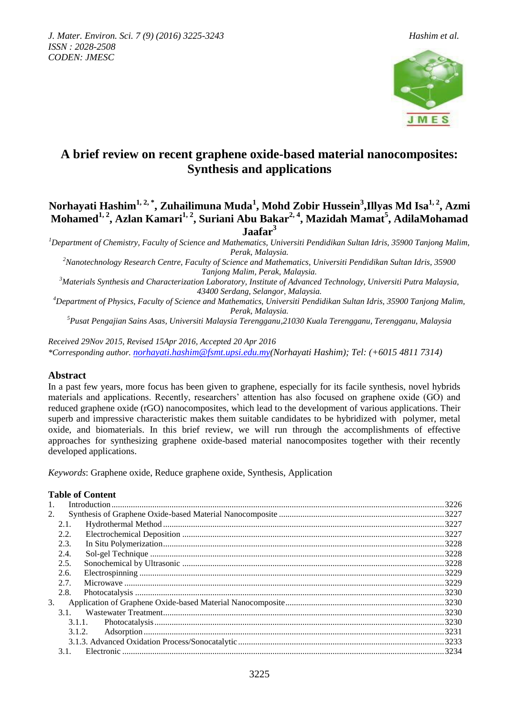

# **A brief review on recent graphene oxide-based material nanocomposites: Synthesis and applications**

## **Norhayati Hashim1, 2, \*, Zuhailimuna Muda<sup>1</sup> , Mohd Zobir Hussein<sup>3</sup> ,Illyas Md Isa1, 2 , Azmi Mohamed1, 2, Azlan Kamari1, 2 , Suriani Abu Bakar2, 4, Mazidah Mamat<sup>5</sup> , AdilaMohamad Jaafar<sup>3</sup>**

*<sup>1</sup>Department of Chemistry, Faculty of Science and Mathematics, Universiti Pendidikan Sultan Idris, 35900 Tanjong Malim, Perak, Malaysia.* 

*<sup>2</sup>Nanotechnology Research Centre, Faculty of Science and Mathematics, Universiti Pendidikan Sultan Idris, 35900 Tanjong Malim, Perak, Malaysia.* 

*<sup>3</sup>Materials Synthesis and Characterization Laboratory, Institute of Advanced Technology, Universiti Putra Malaysia, 43400 Serdang, Selangor, Malaysia.*

*<sup>4</sup>Department of Physics, Faculty of Science and Mathematics, Universiti Pendidikan Sultan Idris, 35900 Tanjong Malim, Perak, Malaysia.* 

*<sup>5</sup>Pusat Pengajian Sains Asas, Universiti Malaysia Terengganu,21030 Kuala Terengganu, Terengganu, Malaysia*

*Received 29Nov 2015, Revised 15Apr 2016, Accepted 20 Apr 2016 \*Corresponding author. [norhayati.hashim@fsmt.upsi.edu.my\(](mailto:norhayati.hashim@fsmt.upsi.edu.my)Norhayati Hashim); Tel: (+6015 4811 7314)*

## **Abstract**

In a past few years, more focus has been given to graphene, especially for its facile synthesis, novel hybrids materials and applications. Recently, researchers' attention has also focused on graphene oxide (GO) and reduced graphene oxide (rGO) nanocomposites, which lead to the development of various applications. Their superb and impressive characteristic makes them suitable candidates to be hybridized with polymer, metal oxide, and biomaterials. In this brief review, we will run through the accomplishments of effective approaches for synthesizing graphene oxide-based material nanocomposites together with their recently developed applications.

*Keywords*: Graphene oxide, Reduce graphene oxide, Synthesis, Application

## **Table of Content**

| 2. |        |  |  |
|----|--------|--|--|
|    | 2.1.   |  |  |
|    | 2.2.   |  |  |
|    | 2.3.   |  |  |
|    | 2.4.   |  |  |
|    | 2.5.   |  |  |
|    | 2.6.   |  |  |
|    | 2.7.   |  |  |
|    | 2.8.   |  |  |
| 3. |        |  |  |
|    | 3.1.   |  |  |
|    | 3.1.1. |  |  |
|    | 3.1.2. |  |  |
|    |        |  |  |
|    | 3.1.   |  |  |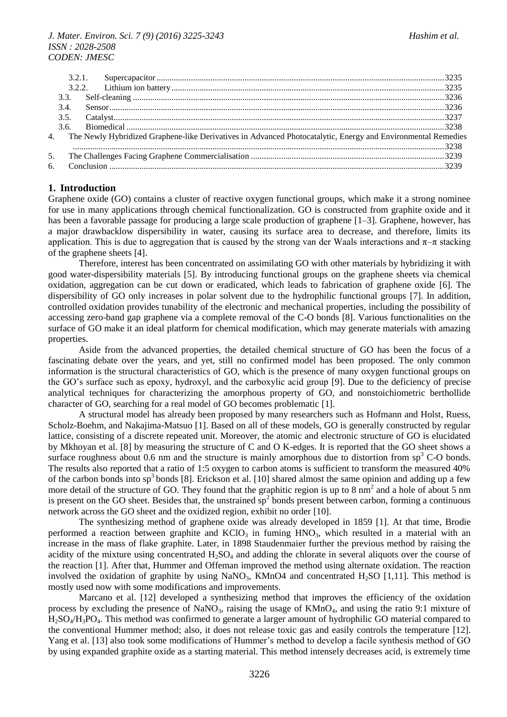#### *J. Mater. Environ. Sci. 7 (9) (2016) 3225-3243 Hashim et al. ISSN : 2028-2508 CODEN: JMESC*

|  | 4. The Newly Hybridized Graphene-like Derivatives in Advanced Photocatalytic, Energy and Environmental Remedies |  |
|--|-----------------------------------------------------------------------------------------------------------------|--|
|  |                                                                                                                 |  |
|  |                                                                                                                 |  |
|  |                                                                                                                 |  |
|  |                                                                                                                 |  |

## **1. Introduction**

Graphene oxide (GO) contains a cluster of reactive oxygen functional groups, which make it a strong nominee for use in many applications through chemical functionalization. GO is constructed from graphite oxide and it has been a favorable passage for producing a large scale production of graphene [1–3]. Graphene, however, has a major drawbacklow dispersibility in water, causing its surface area to decrease, and therefore, limits its application. This is due to aggregation that is caused by the strong van der Waals interactions and  $\pi-\pi$  stacking of the graphene sheets [4].

Therefore, interest has been concentrated on assimilating GO with other materials by hybridizing it with good water-dispersibility materials [5]. By introducing functional groups on the graphene sheets via chemical oxidation, aggregation can be cut down or eradicated, which leads to fabrication of graphene oxide [6]. The dispersibility of GO only increases in polar solvent due to the hydrophilic functional groups [7]. In addition, controlled oxidation provides tunability of the electronic and mechanical properties, including the possibility of accessing zero-band gap graphene via a complete removal of the C-O bonds [8]. Various functionalities on the surface of GO make it an ideal platform for chemical modification, which may generate materials with amazing properties.

Aside from the advanced properties, the detailed chemical structure of GO has been the focus of a fascinating debate over the years, and yet, still no confirmed model has been proposed. The only common information is the structural characteristics of GO, which is the presence of many oxygen functional groups on the GO's surface such as epoxy, hydroxyl, and the carboxylic acid group [9]. Due to the deficiency of precise analytical techniques for characterizing the amorphous property of GO, and nonstoichiometric berthollide character of GO, searching for a real model of GO becomes problematic [1].

A structural model has already been proposed by many researchers such as Hofmann and Holst, Ruess, Scholz-Boehm, and Nakajima-Matsuo [1]. Based on all of these models, GO is generally constructed by regular lattice, consisting of a discrete repeated unit. Moreover, the atomic and electronic structure of GO is elucidated by Mkhoyan et al. [8] by measuring the structure of C and O K-edges. It is reported that the GO sheet shows a surface roughness about 0.6 nm and the structure is mainly amorphous due to distortion from  $sp<sup>3</sup>$  C-O bonds. The results also reported that a ratio of 1:5 oxygen to carbon atoms is sufficient to transform the measured 40% of the carbon bonds into  $sp^3$  bonds [8]. Erickson et al. [10] shared almost the same opinion and adding up a few more detail of the structure of GO. They found that the graphitic region is up to  $8 \text{ nm}^2$  and a hole of about 5 nm is present on the GO sheet. Besides that, the unstrained  $sp^2$  bonds present between carbon, forming a continuous network across the GO sheet and the oxidized region, exhibit no order [10].

The synthesizing method of graphene oxide was already developed in 1859 [1]. At that time, Brodie performed a reaction between graphite and  $KClO<sub>3</sub>$  in fuming  $HNO<sub>3</sub>$ , which resulted in a material with an increase in the mass of flake graphite. Later, in 1898 Staudenmaier further the previous method by raising the acidity of the mixture using concentrated  $H_2SO_4$  and adding the chlorate in several aliquots over the course of the reaction [1]. After that, Hummer and Offeman improved the method using alternate oxidation. The reaction involved the oxidation of graphite by using  $NANO_3$ ,  $KMnO4$  and concentrated H<sub>2</sub>SO [1,11]. This method is mostly used now with some modifications and improvements.

Marcano et al. [12] developed a synthesizing method that improves the efficiency of the oxidation process by excluding the presence of NaNO<sub>3</sub>, raising the usage of  $KMnO<sub>4</sub>$ , and using the ratio 9:1 mixture of H2SO4/H3PO4. This method was confirmed to generate a larger amount of hydrophilic GO material compared to the conventional Hummer method; also, it does not release toxic gas and easily controls the temperature [12]. Yang et al. [13] also took some modifications of Hummer's method to develop a facile synthesis method of GO by using expanded graphite oxide as a starting material. This method intensely decreases acid, is extremely time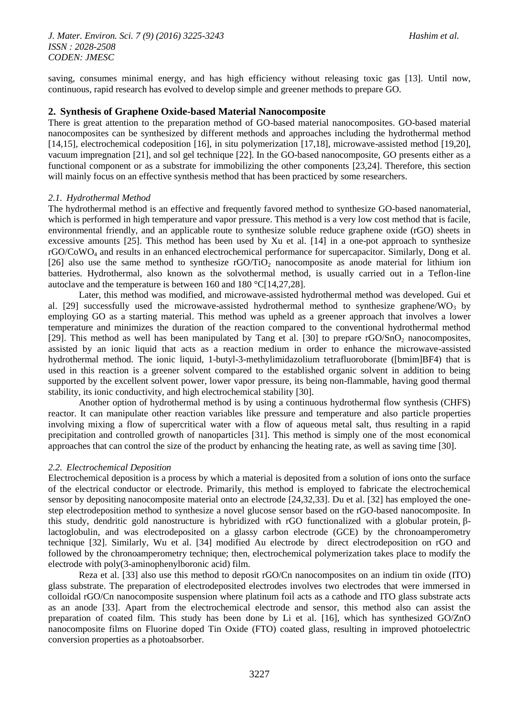saving, consumes minimal energy, and has high efficiency without releasing toxic gas [13]. Until now, continuous, rapid research has evolved to develop simple and greener methods to prepare GO.

#### **2. Synthesis of Graphene Oxide-based Material Nanocomposite**

There is great attention to the preparation method of GO-based material nanocomposites. GO-based material nanocomposites can be synthesized by different methods and approaches including the hydrothermal method [14,15], electrochemical codeposition [16], in situ polymerization [17,18], microwave-assisted method [19,20], vacuum impregnation [21], and sol gel technique [22]. In the GO-based nanocomposite, GO presents either as a functional component or as a substrate for immobilizing the other components [23,24]. Therefore, this section will mainly focus on an effective synthesis method that has been practiced by some researchers.

#### *2.1. Hydrothermal Method*

The hydrothermal method is an effective and frequently favored method to synthesize GO-based nanomaterial, which is performed in high temperature and vapor pressure. This method is a very low cost method that is facile, environmental friendly, and an applicable route to synthesize soluble reduce graphene oxide (rGO) sheets in excessive amounts [25]. This method has been used by Xu et al. [14] in a one-pot approach to synthesize rGO/CoWO<sup>4</sup> and results in an enhanced electrochemical performance for supercapacitor. Similarly, Dong et al. [26] also use the same method to synthesize  $rGO/TiO<sub>2</sub>$  nanocomposite as anode material for lithium ion batteries. Hydrothermal, also known as the solvothermal method, is usually carried out in a Teflon-line autoclave and the temperature is between 160 and 180 °C[14,27,28].

Later, this method was modified, and microwave-assisted hydrothermal method was developed. Gui et al. [29] successfully used the microwave-assisted hydrothermal method to synthesize graphene/WO<sub>3</sub> by employing GO as a starting material. This method was upheld as a greener approach that involves a lower temperature and minimizes the duration of the reaction compared to the conventional hydrothermal method [29]. This method as well has been manipulated by Tang et al. [30] to prepare rGO/SnO<sub>2</sub> nanocomposites, assisted by an ionic liquid that acts as a reaction medium in order to enhance the microwave-assisted hydrothermal method. The ionic liquid, 1-butyl-3-methylimidazolium tetrafluoroborate ([bmim]BF4) that is used in this reaction is a greener solvent compared to the established organic solvent in addition to being supported by the excellent solvent power, lower vapor pressure, its being non-flammable, having good thermal stability, its ionic conductivity, and high electrochemical stability [30].

Another option of hydrothermal method is by using a continuous hydrothermal flow synthesis (CHFS) reactor. It can manipulate other reaction variables like pressure and temperature and also particle properties involving mixing a flow of supercritical water with a flow of aqueous metal salt, thus resulting in a rapid precipitation and controlled growth of nanoparticles [31]. This method is simply one of the most economical approaches that can control the size of the product by enhancing the heating rate, as well as saving time [30].

#### *2.2. Electrochemical Deposition*

Electrochemical deposition is a process by which a material is deposited from a solution of ions onto the surface of the electrical conductor or electrode. Primarily, this method is employed to fabricate the electrochemical sensor by depositing nanocomposite material onto an electrode [24,32,33]. Du et al. [32] has employed the onestep electrodeposition method to synthesize a novel glucose sensor based on the rGO-based nanocomposite. In this study, dendritic gold nanostructure is hybridized with rGO functionalized with a globular protein, βlactoglobulin, and was electrodeposited on a glassy carbon electrode (GCE) by the chronoamperometry technique [32]. Similarly, Wu et al. [34] modified Au electrode by direct electrodeposition on rGO and followed by the chronoamperometry technique; then, electrochemical polymerization takes place to modify the electrode with poly(3-aminophenylboronic acid) film.

Reza et al. [33] also use this method to deposit rGO/Cn nanocomposites on an indium tin oxide (ITO) glass substrate. The preparation of electrodeposited electrodes involves two electrodes that were immersed in colloidal rGO/Cn nanocomposite suspension where platinum foil acts as a cathode and ITO glass substrate acts as an anode [33]. Apart from the electrochemical electrode and sensor, this method also can assist the preparation of coated film. This study has been done by Li et al. [16], which has synthesized GO/ZnO nanocomposite films on Fluorine doped Tin Oxide (FTO) coated glass, resulting in improved photoelectric conversion properties as a photoabsorber.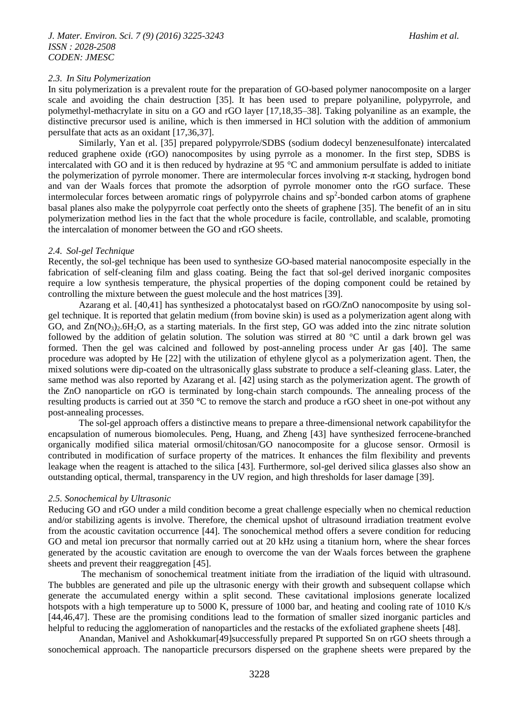#### *2.3. In Situ Polymerization*

In situ polymerization is a prevalent route for the preparation of GO-based polymer nanocomposite on a larger scale and avoiding the chain destruction [35]. It has been used to prepare polyaniline, polypyrrole, and polymethyl-methacrylate in situ on a GO and rGO layer [17,18,35–38]. Taking polyaniline as an example, the distinctive precursor used is aniline, which is then immersed in HCl solution with the addition of ammonium persulfate that acts as an oxidant [17,36,37].

Similarly, Yan et al. [35] prepared polypyrrole/SDBS (sodium dodecyl benzenesulfonate) intercalated reduced graphene oxide (rGO) nanocomposites by using pyrrole as a monomer. In the first step, SDBS is intercalated with GO and it is then reduced by hydrazine at 95 °C and ammonium persulfate is added to initiate the polymerization of pyrrole monomer. There are intermolecular forces involving π-π stacking, hydrogen bond and van der Waals forces that promote the adsorption of pyrrole monomer onto the rGO surface. These intermolecular forces between aromatic rings of polypyrrole chains and  $sp<sup>2</sup>$ -bonded carbon atoms of graphene basal planes also make the polypyrrole coat perfectly onto the sheets of graphene [35]. The benefit of an in situ polymerization method lies in the fact that the whole procedure is facile, controllable, and scalable, promoting the intercalation of monomer between the GO and rGO sheets.

#### *2.4. Sol-gel Technique*

Recently, the sol-gel technique has been used to synthesize GO-based material nanocomposite especially in the fabrication of self-cleaning film and glass coating. Being the fact that sol-gel derived inorganic composites require a low synthesis temperature, the physical properties of the doping component could be retained by controlling the mixture between the guest molecule and the host matrices [39].

Azarang et al. [40,41] has synthesized a photocatalyst based on rGO/ZnO nanocomposite by using solgel technique. It is reported that gelatin medium (from bovine skin) is used as a polymerization agent along with GO, and  $Zn(NO<sub>3</sub>)<sub>2</sub>·6H<sub>2</sub>O$ , as a starting materials. In the first step, GO was added into the zinc nitrate solution followed by the addition of gelatin solution. The solution was stirred at 80 °C until a dark brown gel was formed. Then the gel was calcined and followed by post-anneling process under Ar gas [40]. The same procedure was adopted by He [22] with the utilization of ethylene glycol as a polymerization agent. Then, the mixed solutions were dip-coated on the ultrasonically glass substrate to produce a self-cleaning glass. Later, the same method was also reported by Azarang et al. [42] using starch as the polymerization agent. The growth of the ZnO nanoparticle on rGO is terminated by long-chain starch compounds. The annealing process of the resulting products is carried out at 350 **°**C to remove the starch and produce a rGO sheet in one-pot without any post-annealing processes.

The sol-gel approach offers a distinctive means to prepare a three-dimensional network capabilityfor the encapsulation of numerous biomolecules. Peng, Huang, and Zheng [43] have synthesized ferrocene-branched organically modified silica material ormosil/chitosan/GO nanocomposite for a glucose sensor. Ormosil is contributed in modification of surface property of the matrices. It enhances the film flexibility and prevents leakage when the reagent is attached to the silica [43]. Furthermore, sol-gel derived silica glasses also show an outstanding optical, thermal, transparency in the UV region, and high thresholds for laser damage [39].

#### *2.5. Sonochemical by Ultrasonic*

Reducing GO and rGO under a mild condition become a great challenge especially when no chemical reduction and/or stabilizing agents is involve. Therefore, the chemical upshot of ultrasound irradiation treatment evolve from the acoustic cavitation occurrence [44]. The sonochemical method offers a severe condition for reducing GO and metal ion precursor that normally carried out at 20 kHz using a titanium horn, where the shear forces generated by the acoustic cavitation are enough to overcome the van der Waals forces between the graphene sheets and prevent their reaggregation [45].

The mechanism of sonochemical treatment initiate from the irradiation of the liquid with ultrasound. The bubbles are generated and pile up the ultrasonic energy with their growth and subsequent collapse which generate the accumulated energy within a split second. These cavitational implosions generate localized hotspots with a high temperature up to 5000 K, pressure of 1000 bar, and heating and cooling rate of 1010 K/s [44,46,47]. These are the promising conditions lead to the formation of smaller sized inorganic particles and helpful to reducing the agglomeration of nanoparticles and the restacks of the exfoliated graphene sheets [48].

Anandan, Manivel and Ashokkumar[49]successfully prepared Pt supported Sn on rGO sheets through a sonochemical approach. The nanoparticle precursors dispersed on the graphene sheets were prepared by the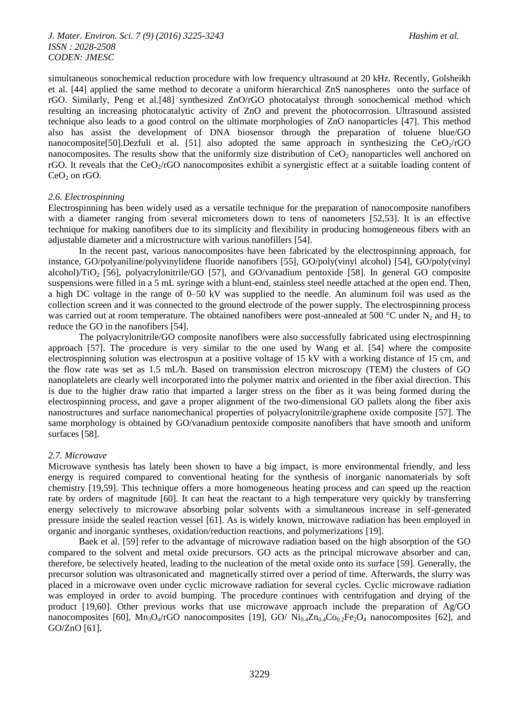simultaneous sonochemical reduction procedure with low frequency ultrasound at 20 kHz. Recently, Golsheikh et al. [44] applied the same method to decorate a uniform hierarchical ZnS nanospheres onto the surface of rGO. Similarly, Peng et al.[48] synthesized ZnO/rGO photocatalyst through sonochemical method which resulting an increasing photocatalytic activity of ZnO and prevent the photocorrosion. Ultrasound assisted technique also leads to a good control on the ultimate morphologies of ZnO nanoparticles [47]. This method also has assist the development of DNA biosensor through the preparation of toluene blue/GO nanocomposite[50].Dezfuli et al. [51] also adopted the same approach in synthesizing the  $CeO<sub>2</sub>/rGO$ nanocomposites. The results show that the uniformly size distribution of  $CeO<sub>2</sub>$  nanoparticles well anchored on rGO. It reveals that the  $CeO<sub>2</sub>/rGO$  nanocomposites exhibit a synergistic effect at a suitable loading content of  $CeO<sub>2</sub>$  on rGO.

#### *2.6. Electrospinning*

Electrospinning has been widely used as a versatile technique for the preparation of nanocomposite nanofibers with a diameter ranging from several micrometers down to tens of nanometers [52,53]. It is an effective technique for making nanofibers due to its simplicity and flexibility in producing homogeneous fibers with an adjustable diameter and a microstructure with various nanofillers [54].

In the recent past, various nanocomposites have been fabricated by the electrospinning approach, for instance, GO/polyaniline/polyvinylidene fluoride nanofibers [55], GO/poly(vinyl alcohol) [54], GO/poly(vinyl alcohol)/TiO2 [56], polyacrylonitrile/GO [57], and GO/vanadium pentoxide [58]. In general GO composite suspensions were filled in a 5 mL syringe with a blunt-end, stainless steel needle attached at the open end. Then, a high DC voltage in the range of 0–50 kV was supplied to the needle. An aluminum foil was used as the collection screen and it was connected to the ground electrode of the power supply. The electrospinning process was carried out at room temperature. The obtained nanofibers were post-annealed at 500 °C under N<sub>2</sub> and H<sub>2</sub> to reduce the GO in the nanofibers [54].

The polyacrylonitrile/GO composite nanofibers were also successfully fabricated using electrospinning approach [57]. The procedure is very similar to the one used by Wang et al. [54] where the composite electrospinning solution was electrospun at a positive voltage of 15 kV with a working distance of 15 cm, and the flow rate was set as 1.5 mL/h. Based on transmission electron microscopy (TEM) the clusters of GO nanoplatelets are clearly well incorporated into the polymer matrix and oriented in the fiber axial direction. This is due to the higher draw ratio that imparted a larger stress on the fiber as it was being formed during the electrospinning process, and gave a proper alignment of the two-dimensional GO pallets along the fiber axis nanostructures and surface nanomechanical properties of polyacrylonitrile/graphene oxide composite [57]. The same morphology is obtained by GO/vanadium pentoxide composite nanofibers that have smooth and uniform surfaces [58].

#### *2.7. Microwave*

Microwave synthesis has lately been shown to have a big impact, is more environmental friendly, and less energy is required compared to conventional heating for the synthesis of inorganic nanomaterials by soft chemistry [19,59]. This technique offers a more homogeneous heating process and can speed up the reaction rate by orders of magnitude [60]. It can heat the reactant to a high temperature very quickly by transferring energy selectively to microwave absorbing polar solvents with a simultaneous increase in self-generated pressure inside the sealed reaction vessel [61]. As is widely known, microwave radiation has been employed in organic and inorganic syntheses, oxidation/reduction reactions, and polymerizations [19].

Baek et al. [59] refer to the advantage of microwave radiation based on the high absorption of the GO compared to the solvent and metal oxide precursors. GO acts as the principal microwave absorber and can, therefore, be selectively heated, leading to the nucleation of the metal oxide onto its surface [59]. Generally, the precursor solution was ultrasonicated and magnetically stirred over a period of time. Afterwards, the slurry was placed in a microwave oven under cyclic microwave radiation for several cycles. Cyclic microwave radiation was employed in order to avoid bumping. The procedure continues with centrifugation and drying of the product [19,60]. Other previous works that use microwave approach include the preparation of  $Ag/GO$ nanocomposites [60],  $\text{Mn}_3\text{O}_4/\text{rGO}$  nanocomposites [19], GO/  $\text{Ni}_{0.4}\text{Zn}_{0.4}\text{Co}_{0.2}\text{Fe}_2\text{O}_4$  nanocomposites [62], and GO/ZnO [61].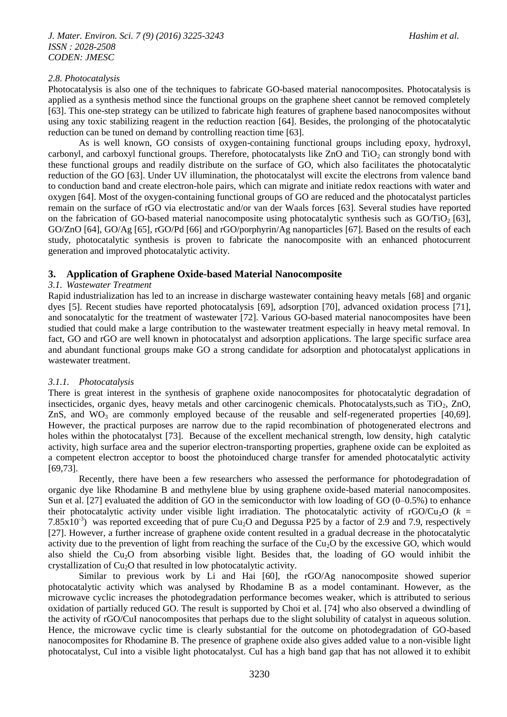## *2.8. Photocatalysis*

Photocatalysis is also one of the techniques to fabricate GO-based material nanocomposites. Photocatalysis is applied as a synthesis method since the functional groups on the graphene sheet cannot be removed completely [63]. This one-step strategy can be utilized to fabricate high features of graphene based nanocomposites without using any toxic stabilizing reagent in the reduction reaction [64]. Besides, the prolonging of the photocatalytic reduction can be tuned on demand by controlling reaction time [63].

As is well known, GO consists of oxygen-containing functional groups including epoxy, hydroxyl, carbonyl, and carboxyl functional groups. Therefore, photocatalysts like  $ZnO$  and  $TiO<sub>2</sub>$  can strongly bond with these functional groups and readily distribute on the surface of GO, which also facilitates the photocatalytic reduction of the GO [63]. Under UV illumination, the photocatalyst will excite the electrons from valence band to conduction band and create electron-hole pairs, which can migrate and initiate redox reactions with water and oxygen [64]. Most of the oxygen-containing functional groups of GO are reduced and the photocatalyst particles remain on the surface of rGO via electrostatic and/or van der Waals forces [63]. Several studies have reported on the fabrication of GO-based material nanocomposite using photocatalytic synthesis such as  $GO/TiO<sub>2</sub>$  [63], GO/ZnO [64], GO/Ag [65], rGO/Pd [66] and rGO/porphyrin/Ag nanoparticles [67]. Based on the results of each study, photocatalytic synthesis is proven to fabricate the nanocomposite with an enhanced photocurrent generation and improved photocatalytic activity.

## **3. Application of Graphene Oxide-based Material Nanocomposite**

## *3.1. Wastewater Treatment*

Rapid industrialization has led to an increase in discharge wastewater containing heavy metals [68] and organic dyes [5]. Recent studies have reported photocatalysis [69], adsorption [70], advanced oxidation process [71], and sonocatalytic for the treatment of wastewater [72]. Various GO-based material nanocomposites have been studied that could make a large contribution to the wastewater treatment especially in heavy metal removal. In fact, GO and rGO are well known in photocatalyst and adsorption applications. The large specific surface area and abundant functional groups make GO a strong candidate for adsorption and photocatalyst applications in wastewater treatment.

## *3.1.1. Photocatalysis*

There is great interest in the synthesis of graphene oxide nanocomposites for photocatalytic degradation of insecticides, organic dyes, heavy metals and other carcinogenic chemicals. Photocatalysts, such as  $TiO<sub>2</sub>$ ,  $ZnO$ , ZnS, and  $WO_3$  are commonly employed because of the reusable and self-regenerated properties [40,69]. However, the practical purposes are narrow due to the rapid recombination of photogenerated electrons and holes within the photocatalyst [73]. Because of the excellent mechanical strength, low density, high catalytic activity, high surface area and the superior electron-transporting properties, graphene oxide can be exploited as a competent electron acceptor to boost the photoinduced charge transfer for amended photocatalytic activity [69,73].

Recently, there have been a few researchers who assessed the performance for photodegradation of organic dye like Rhodamine B and methylene blue by using graphene oxide-based material nanocomposites. Sun et al. [27] evaluated the addition of GO in the semiconductor with low loading of GO (0–0.5%) to enhance their photocatalytic activity under visible light irradiation. The photocatalytic activity of rGO/Cu<sub>2</sub>O ( $k =$ 7.85 $x10^{-3}$ ) was reported exceeding that of pure Cu<sub>2</sub>O and Degussa P25 by a factor of 2.9 and 7.9, respectively [27]. However, a further increase of graphene oxide content resulted in a gradual decrease in the photocatalytic activity due to the prevention of light from reaching the surface of the  $Cu<sub>2</sub>O$  by the excessive GO, which would also shield the Cu<sub>2</sub>O from absorbing visible light. Besides that, the loading of GO would inhibit the crystallization of  $Cu<sub>2</sub>O$  that resulted in low photocatalytic activity.

Similar to previous work by Li and Hai [60], the rGO/Ag nanocomposite showed superior photocatalytic activity which was analysed by Rhodamine B as a model contaminant. However, as the microwave cyclic increases the photodegradation performance becomes weaker, which is attributed to serious oxidation of partially reduced GO. The result is supported by Choi et al. [74] who also observed a dwindling of the activity of rGO/CuI nanocomposites that perhaps due to the slight solubility of catalyst in aqueous solution. Hence, the microwave cyclic time is clearly substantial for the outcome on photodegradation of GO-based nanocomposites for Rhodamine B. The presence of graphene oxide also gives added value to a non-visible light photocatalyst, CuI into a visible light photocatalyst. CuI has a high band gap that has not allowed it to exhibit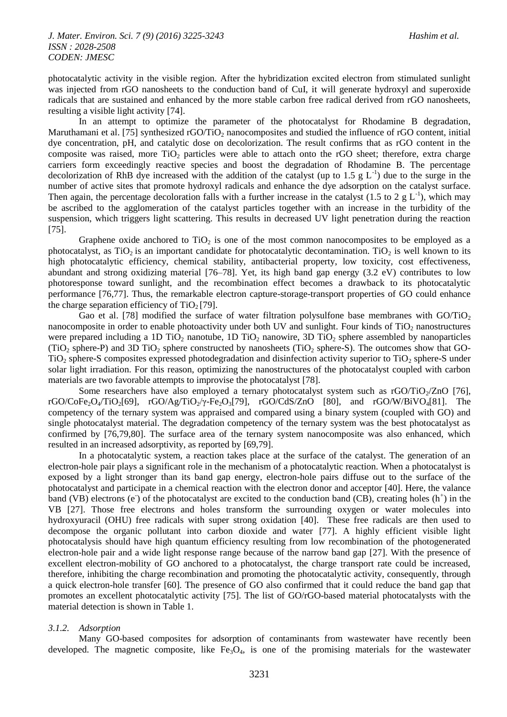photocatalytic activity in the visible region. After the hybridization excited electron from stimulated sunlight was injected from rGO nanosheets to the conduction band of CuI, it will generate hydroxyl and superoxide radicals that are sustained and enhanced by the more stable carbon free radical derived from rGO nanosheets, resulting a visible light activity [74].

In an attempt to optimize the parameter of the photocatalyst for Rhodamine B degradation, Maruthamani et al. [75] synthesized rGO/TiO<sub>2</sub> nanocomposites and studied the influence of rGO content, initial dye concentration, pH, and catalytic dose on decolorization. The result confirms that as rGO content in the composite was raised, more  $TiO<sub>2</sub>$  particles were able to attach onto the rGO sheet; therefore, extra charge carriers form exceedingly reactive species and boost the degradation of Rhodamine B. The percentage decolorization of RhB dye increased with the addition of the catalyst (up to 1.5  $g L^{-1}$ ) due to the surge in the number of active sites that promote hydroxyl radicals and enhance the dye adsorption on the catalyst surface. Then again, the percentage decoloration falls with a further increase in the catalyst (1.5 to 2  $g L^{-1}$ ), which may be ascribed to the agglomeration of the catalyst particles together with an increase in the turbidity of the suspension, which triggers light scattering. This results in decreased UV light penetration during the reaction [75].

Graphene oxide anchored to  $TiO<sub>2</sub>$  is one of the most common nanocomposites to be employed as a photocatalyst, as  $TiO<sub>2</sub>$  is an important candidate for photocatalytic decontamination. TiO<sub>2</sub> is well known to its high photocatalytic efficiency, chemical stability, antibacterial property, low toxicity, cost effectiveness, abundant and strong oxidizing material [76–78]. Yet, its high band gap energy (3.2 eV) contributes to low photoresponse toward sunlight, and the recombination effect becomes a drawback to its photocatalytic performance [76,77]. Thus, the remarkable electron capture-storage-transport properties of GO could enhance the charge separation efficiency of  $TiO<sub>2</sub> [79]$ .

Gao et al. [78] modified the surface of water filtration polysulfone base membranes with  $GO/TiO<sub>2</sub>$ nanocomposite in order to enable photoactivity under both UV and sunlight. Four kinds of TiO<sub>2</sub> nanostructures were prepared including a 1D  $TiO<sub>2</sub>$  nanotube, 1D  $TiO<sub>2</sub>$  nanowire, 3D  $TiO<sub>2</sub>$  sphere assembled by nanoparticles (TiO<sub>2</sub> sphere-P) and 3D TiO<sub>2</sub> sphere constructed by nanosheets (TiO<sub>2</sub> sphere-S). The outcomes show that GO- $TiO<sub>2</sub>$  sphere-S composites expressed photodegradation and disinfection activity superior to  $TiO<sub>2</sub>$  sphere-S under solar light irradiation. For this reason, optimizing the nanostructures of the photocatalyst coupled with carbon materials are two favorable attempts to improvise the photocatalyst [78].

Some researchers have also employed a ternary photocatalyst system such as  $rGO/TiO<sub>2</sub>/ZnO$  [76], rGO/CoFe<sub>2</sub>O<sub>4</sub>/TiO<sub>2</sub>[69], rGO/Ag/TiO<sub>2</sub>/γ-Fe<sub>2</sub>O<sub>3</sub>[79], rGO/CdS/ZnO [80], and rGO/W/BiVO<sub>4</sub>[81]. The competency of the ternary system was appraised and compared using a binary system (coupled with GO) and single photocatalyst material. The degradation competency of the ternary system was the best photocatalyst as confirmed by [76,79,80]. The surface area of the ternary system nanocomposite was also enhanced, which resulted in an increased adsorptivity, as reported by [69,79].

In a photocatalytic system, a reaction takes place at the surface of the catalyst. The generation of an electron-hole pair plays a significant role in the mechanism of a photocatalytic reaction. When a photocatalyst is exposed by a light stronger than its band gap energy, electron-hole pairs diffuse out to the surface of the photocatalyst and participate in a chemical reaction with the electron donor and acceptor [40]. Here, the valance band (VB) electrons (e) of the photocatalyst are excited to the conduction band (CB), creating holes (h<sup>+</sup>) in the VB [27]. Those free electrons and holes transform the surrounding oxygen or water molecules into hydroxyuracil (OHU) free radicals with super strong oxidation [40]. These free radicals are then used to decompose the organic pollutant into carbon dioxide and water [77]. A highly efficient visible light photocatalysis should have high quantum efficiency resulting from low recombination of the photogenerated electron-hole pair and a wide light response range because of the narrow band gap [27]. With the presence of excellent electron-mobility of GO anchored to a photocatalyst, the charge transport rate could be increased, therefore, inhibiting the charge recombination and promoting the photocatalytic activity, consequently, through a quick electron-hole transfer [60]. The presence of GO also confirmed that it could reduce the band gap that promotes an excellent photocatalytic activity [75]. The list of GO/rGO-based material photocatalysts with the material detection is shown in Table 1.

#### *3.1.2. Adsorption*

Many GO-based composites for adsorption of contaminants from wastewater have recently been developed. The magnetic composite, like  $Fe<sub>3</sub>O<sub>4</sub>$ , is one of the promising materials for the wastewater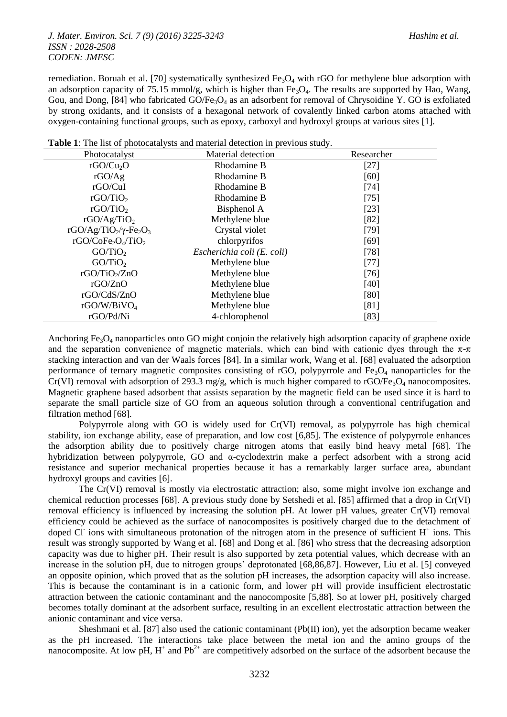### *J. Mater. Environ. Sci. 7 (9) (2016) 3225-3243 Hashim et al. ISSN : 2028-2508 CODEN: JMESC*

remediation. Boruah et al. [70] systematically synthesized  $Fe<sub>3</sub>O<sub>4</sub>$  with rGO for methylene blue adsorption with an adsorption capacity of 75.15 mmol/g, which is higher than  $Fe<sub>3</sub>O<sub>4</sub>$ . The results are supported by Hao, Wang, Gou, and Dong, [84] who fabricated GO/Fe<sub>3</sub>O<sub>4</sub> as an adsorbent for removal of Chrysoidine Y. GO is exfoliated by strong oxidants, and it consists of a hexagonal network of covalently linked carbon atoms attached with oxygen-containing functional groups, such as epoxy, carboxyl and hydroxyl groups at various sites [1].

| Photocatalyst                                                      | Material detection         | Researcher |
|--------------------------------------------------------------------|----------------------------|------------|
| rGO/Cu <sub>2</sub> O                                              | Rhodamine B                | $[27]$     |
| rGO/Ag                                                             | Rhodamine B                | [60]       |
| rGO/CuI                                                            | Rhodamine B                | $[74]$     |
| rGO/TiO <sub>2</sub>                                               | Rhodamine B                | $[75]$     |
| rGO/TiO <sub>2</sub>                                               | Bisphenol A                | $[23]$     |
| rGO/Ag/TiO <sub>2</sub>                                            | Methylene blue             | [82]       |
| rGO/Ag/TiO <sub>2</sub> / $\gamma$ -Fe <sub>2</sub> O <sub>3</sub> | Crystal violet             | $[79]$     |
| rGO/CoFe <sub>2</sub> O <sub>4</sub> /TiO <sub>2</sub>             | chlorpyrifos               | [69]       |
| GO/TiO <sub>2</sub>                                                | Escherichia coli (E. coli) | $[78]$     |
| GO/TiO <sub>2</sub>                                                | Methylene blue             | $[77]$     |
| $rGO/TiO_2/ZnO$                                                    | Methylene blue             | $[76]$     |
| rGO/ZnO                                                            | Methylene blue             | [40]       |
| rGO/CdS/ZnO                                                        | Methylene blue             | [80]       |
| rGO/W/BiVO <sub>4</sub>                                            | Methylene blue             | [81]       |
| rGO/Pd/Ni                                                          | 4-chlorophenol             | [83]       |

**Table 1**: The list of photocatalysts and material detection in previous study.

Anchoring Fe<sub>3</sub>O<sub>4</sub> nanoparticles onto GO might conjoin the relatively high adsorption capacity of graphene oxide and the separation convenience of magnetic materials, which can bind with cationic dyes through the  $\pi$ - $\pi$ stacking interaction and van der Waals forces [84]. In a similar work, Wang et al. [68] evaluated the adsorption performance of ternary magnetic composites consisting of rGO, polypyrrole and  $Fe<sub>3</sub>O<sub>4</sub>$  nanoparticles for the Cr(VI) removal with adsorption of 293.3 mg/g, which is much higher compared to  $rGO/Fe<sub>3</sub>O<sub>4</sub>$  nanocomposites. Magnetic graphene based adsorbent that assists separation by the magnetic field can be used since it is hard to separate the small particle size of GO from an aqueous solution through a conventional centrifugation and filtration method [68].

Polypyrrole along with GO is widely used for Cr(VI) removal, as polypyrrole has high chemical stability, ion exchange ability, ease of preparation, and low cost [6,85]. The existence of polypyrrole enhances the adsorption ability due to positively charge nitrogen atoms that easily bind heavy metal [68]. The hybridization between polypyrrole, GO and α-cyclodextrin make a perfect adsorbent with a strong acid resistance and superior mechanical properties because it has a remarkably larger surface area, abundant hydroxyl groups and cavities [6].

The Cr(VI) removal is mostly via electrostatic attraction; also, some might involve ion exchange and chemical reduction processes [68]. A previous study done by Setshedi et al. [85] affirmed that a drop in Cr(VI) removal efficiency is influenced by increasing the solution pH. At lower pH values, greater Cr(VI) removal efficiency could be achieved as the surface of nanocomposites is positively charged due to the detachment of doped Cl<sup>-</sup> ions with simultaneous protonation of the nitrogen atom in the presence of sufficient  $H^+$  ions. This result was strongly supported by Wang et al. [68] and Dong et al. [86] who stress that the decreasing adsorption capacity was due to higher pH. Their result is also supported by zeta potential values, which decrease with an increase in the solution pH, due to nitrogen groups' deprotonated [68,86,87]. However, Liu et al. [5] conveyed an opposite opinion, which proved that as the solution pH increases, the adsorption capacity will also increase. This is because the contaminant is in a cationic form, and lower pH will provide insufficient electrostatic attraction between the cationic contaminant and the nanocomposite [5,88]. So at lower pH, positively charged becomes totally dominant at the adsorbent surface, resulting in an excellent electrostatic attraction between the anionic contaminant and vice versa.

Sheshmani et al. [87] also used the cationic contaminant (Pb(II) ion), yet the adsorption became weaker as the pH increased. The interactions take place between the metal ion and the amino groups of the nanocomposite. At low pH,  $H^+$  and  $Pb^{2+}$  are competitively adsorbed on the surface of the adsorbent because the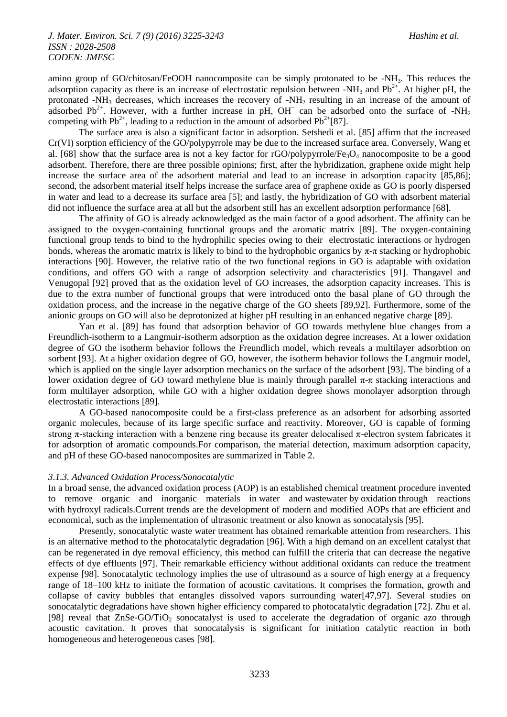amino group of GO/chitosan/FeOOH nanocomposite can be simply protonated to be -NH<sub>3</sub>. This reduces the adsorption capacity as there is an increase of electrostatic repulsion between -NH<sub>3</sub> and Pb<sup>2+</sup>. At higher pH, the protonated -NH<sup>3</sup> decreases, which increases the recovery of -NH<sup>2</sup> resulting in an increase of the amount of adsorbed Pb<sup>2+</sup>. However, with a further increase in pH, OH<sup> $-$ </sup> can be adsorbed onto the surface of -NH<sub>2</sub> competing with Pb<sup>2+</sup>, leading to a reduction in the amount of adsorbed Pb<sup>2+</sup>[87].

The surface area is also a significant factor in adsorption. Setshedi et al. [85] affirm that the increased Cr(VI) sorption efficiency of the GO/polypyrrole may be due to the increased surface area. Conversely, Wang et al. [68] show that the surface area is not a key factor for  $rGO/polyyrrrole/Fe<sub>3</sub>O<sub>4</sub>$  nanocomposite to be a good adsorbent. Therefore, there are three possible opinions; first, after the hybridization, graphene oxide might help increase the surface area of the adsorbent material and lead to an increase in adsorption capacity [85,86]; second, the adsorbent material itself helps increase the surface area of graphene oxide as GO is poorly dispersed in water and lead to a decrease its surface area [5]; and lastly, the hybridization of GO with adsorbent material did not influence the surface area at all but the adsorbent still has an excellent adsorption performance [68].

The affinity of GO is already acknowledged as the main factor of a good adsorbent. The affinity can be assigned to the oxygen-containing functional groups and the aromatic matrix [89]. The oxygen-containing functional group tends to bind to the hydrophilic species owing to their electrostatic interactions or hydrogen bonds, whereas the aromatic matrix is likely to bind to the hydrophobic organics by π-π stacking or hydrophobic interactions [90]. However, the relative ratio of the two functional regions in GO is adaptable with oxidation conditions, and offers GO with a range of adsorption selectivity and characteristics [91]. Thangavel and Venugopal [92] proved that as the oxidation level of GO increases, the adsorption capacity increases. This is due to the extra number of functional groups that were introduced onto the basal plane of GO through the oxidation process, and the increase in the negative charge of the GO sheets [89,92]. Furthermore, some of the anionic groups on GO will also be deprotonized at higher pH resulting in an enhanced negative charge [89].

Yan et al. [89] has found that adsorption behavior of GO towards methylene blue changes from a Freundlich-isotherm to a Langmuir-isotherm adsorption as the oxidation degree increases. At a lower oxidation degree of GO the isotherm behavior follows the Freundlich model, which reveals a multilayer adsorbtion on sorbent [93]. At a higher oxidation degree of GO, however, the isotherm behavior follows the Langmuir model, which is applied on the single layer adsorption mechanics on the surface of the adsorbent [93]. The binding of a lower oxidation degree of GO toward methylene blue is mainly through parallel π-π stacking interactions and form multilayer adsorption, while GO with a higher oxidation degree shows monolayer adsorption through electrostatic interactions [89].

A GO-based nanocomposite could be a first-class preference as an adsorbent for adsorbing assorted organic molecules, because of its large specific surface and reactivity. Moreover, GO is capable of forming strong  $\pi$ -stacking interaction with a benzene ring because its greater delocalised  $\pi$ -electron system fabricates it for adsorption of aromatic compounds.For comparison, the material detection, maximum adsorption capacity, and pH of these GO-based nanocomposites are summarized in Table 2.

#### *3.1.3. Advanced Oxidation Process/Sonocatalytic*

In a broad sense, the advanced oxidation process (AOP) is an established chemical treatment procedure invented to remove organic and inorganic materials in water and wastewater by oxidation through reactions with hydroxyl radicals.Current trends are the development of modern and modified AOPs that are efficient and economical, such as the implementation of ultrasonic treatment or also known as sonocatalysis [95].

Presently, sonocatalytic waste water treatment has obtained remarkable attention from researchers. This is an alternative method to the photocatalytic degradation [96]. With a high demand on an excellent catalyst that can be regenerated in dye removal efficiency, this method can fulfill the criteria that can decrease the negative effects of dye effluents [97]. Their remarkable efficiency without additional oxidants can reduce the treatment expense [98]. Sonocatalytic technology implies the use of ultrasound as a source of high energy at a frequency range of 18–100 kHz to initiate the formation of acoustic cavitations. It comprises the formation, growth and collapse of cavity bubbles that entangles dissolved vapors surrounding water[47,97]. Several studies on sonocatalytic degradations have shown higher efficiency compared to photocatalytic degradation [72]. Zhu et al. [98] reveal that ZnSe-GO/TiO<sub>2</sub> sonocatalyst is used to accelerate the degradation of organic azo through acoustic cavitation. It proves that sonocatalysis is significant for initiation catalytic reaction in both homogeneous and heterogeneous cases [98].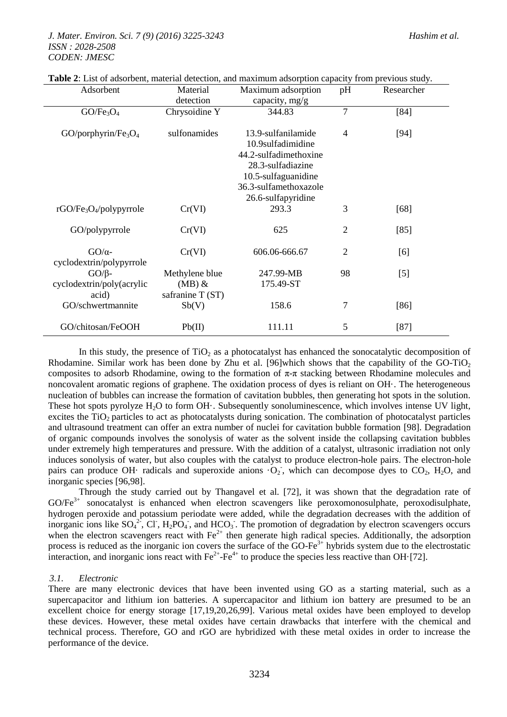| Adsorbent                                       | Material<br>detection                          | Maximum adsorption<br>capacity, mg/g                                                                                                                        | pH             | Researcher |
|-------------------------------------------------|------------------------------------------------|-------------------------------------------------------------------------------------------------------------------------------------------------------------|----------------|------------|
| GO/Fe <sub>3</sub> O <sub>4</sub>               | Chrysoidine Y                                  | 344.83                                                                                                                                                      | 7              | [84]       |
| $GO/porphyrin/Fe3O4$                            | sulfonamides                                   | 13.9-sulfanilamide<br>10.9sulfadimidine<br>44.2-sulfadimethoxine<br>28.3-sulfadiazine<br>10.5-sulfaguanidine<br>36.3-sulfamethoxazole<br>26.6-sulfapyridine | $\overline{4}$ | $[94]$     |
| rGO/Fe <sub>3</sub> O <sub>4</sub> /polypyrrole | Cr(VI)                                         | 293.3                                                                                                                                                       | 3              | [68]       |
| GO/polypyrrole                                  | Cr(VI)                                         | 625                                                                                                                                                         | $\overline{2}$ | [85]       |
| $GO/\alpha$ -<br>cyclodextrin/polypyrrole       | Cr(VI)                                         | 606.06-666.67                                                                                                                                               | $\overline{2}$ | [6]        |
| $GO/B-$<br>cyclodextrin/poly(acrylic<br>acid)   | Methylene blue<br>$(MB)$ &<br>safranine T (ST) | 247.99-MB<br>175.49-ST                                                                                                                                      | 98             | $[5]$      |
| GO/schwertmannite                               | Sb(V)                                          | 158.6                                                                                                                                                       | 7              | $[86]$     |
| GO/chitosan/FeOOH                               | Pb(II)                                         | 111.11                                                                                                                                                      | 5              | $[87]$     |

## **Table 2**: List of adsorbent, material detection, and maximum adsorption capacity from previous study.

In this study, the presence of  $TiO<sub>2</sub>$  as a photocatalyst has enhanced the sonocatalytic decomposition of Rhodamine. Similar work has been done by Zhu et al. [96]which shows that the capability of the GO-TiO<sub>2</sub> composites to adsorb Rhodamine, owing to the formation of  $\pi$ - $\pi$  stacking between Rhodamine molecules and noncovalent aromatic regions of graphene. The oxidation process of dyes is reliant on OH·. The heterogeneous nucleation of bubbles can increase the formation of cavitation bubbles, then generating hot spots in the solution. These hot spots pyrolyze  $H_2O$  to form  $OH_1$ . Subsequently sonoluminescence, which involves intense UV light, excites the TiO<sub>2</sub> particles to act as photocatalysts during sonication. The combination of photocatalyst particles and ultrasound treatment can offer an extra number of nuclei for cavitation bubble formation [98]. Degradation of organic compounds involves the sonolysis of water as the solvent inside the collapsing cavitation bubbles under extremely high temperatures and pressure. With the addition of a catalyst, ultrasonic irradiation not only induces sonolysis of water, but also couples with the catalyst to produce electron-hole pairs. The electron-hole pairs can produce OH· radicals and superoxide anions  $O_2$ , which can decompose dyes to CO<sub>2</sub>, H<sub>2</sub>O, and inorganic species [96,98].

Through the study carried out by Thangavel et al. [72], it was shown that the degradation rate of GO/Fe<sup>3+</sup> sonocatalyst is enhanced when electron scavengers like peroxomonosulphate, peroxodisulphate, hydrogen peroxide and potassium periodate were added, while the degradation decreases with the addition of inorganic ions like  $SO_4^2$ , Cl,  $H_2PO_4$ , and HCO<sub>3</sub>. The promotion of degradation by electron scavengers occurs when the electron scavengers react with Fe<sup>2+</sup> then generate high radical species. Additionally, the adsorption process is reduced as the inorganic ion covers the surface of the GO-Fe<sup>3+</sup> hybrids system due to the electrostatic interaction, and inorganic ions react with  $\text{Fe}^{2+}$ -Fe<sup>4+</sup> to produce the species less reactive than OH·[72].

#### *3.1. Electronic*

There are many electronic devices that have been invented using GO as a starting material, such as a supercapacitor and lithium ion batteries. A supercapacitor and lithium ion battery are presumed to be an excellent choice for energy storage [17,19,20,26,99]. Various metal oxides have been employed to develop these devices. However, these metal oxides have certain drawbacks that interfere with the chemical and technical process. Therefore, GO and rGO are hybridized with these metal oxides in order to increase the performance of the device.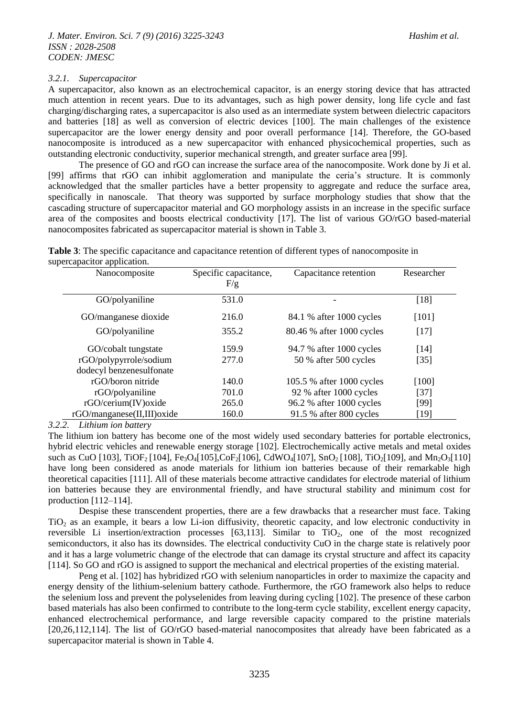#### *3.2.1. Supercapacitor*

A supercapacitor, also known as an electrochemical capacitor, is an energy storing device that has attracted much attention in recent years. Due to its advantages, such as high power density, long life cycle and fast charging/discharging rates, a supercapacitor is also used as an intermediate system between dielectric capacitors and batteries [18] as well as conversion of electric devices [100]. The main challenges of the existence supercapacitor are the lower energy density and poor overall performance [14]. Therefore, the GO-based nanocomposite is introduced as a new supercapacitor with enhanced physicochemical properties, such as outstanding electronic conductivity, superior mechanical strength, and greater surface area [99].

The presence of GO and rGO can increase the surface area of the nanocomposite. Work done by Ji et al. [99] affirms that rGO can inhibit agglomeration and manipulate the ceria's structure. It is commonly acknowledged that the smaller particles have a better propensity to aggregate and reduce the surface area, specifically in nanoscale. That theory was supported by surface morphology studies that show that the cascading structure of supercapacitor material and GO morphology assists in an increase in the specific surface area of the composites and boosts electrical conductivity [17]. The list of various GO/rGO based-material nanocomposites fabricated as supercapacitor material is shown in Table 3.

**Table 3**: The specific capacitance and capacitance retention of different types of nanocomposite in supercapacitor application.

| Nanocomposite                                 | Specific capacitance,<br>F/g | Capacitance retention     | Researcher |
|-----------------------------------------------|------------------------------|---------------------------|------------|
| GO/polyaniline                                | 531.0                        |                           | $[18]$     |
| GO/manganese dioxide                          | 216.0                        | 84.1 % after 1000 cycles  | $[101]$    |
| GO/polyaniline                                | 355.2                        | 80.46 % after 1000 cycles | $[17]$     |
| GO/cobalt tungstate                           | 159.9                        | 94.7 % after 1000 cycles  | [14]       |
| rGO/polypyrrole/sodium                        | 277.0                        | 50 % after 500 cycles     | $[35]$     |
| dodecyl benzenesulfonate<br>rGO/boron nitride | 140.0                        | 105.5 % after 1000 cycles | $[100]$    |
| rGO/polyaniline                               | 701.0                        | 92 % after 1000 cycles    | $[37]$     |
| rGO/cerium(IV) oxide                          | 265.0                        | 96.2 % after 1000 cycles  | [99]       |
| rGO/manganese(II,III) oxide                   | 160.0                        | 91.5 % after 800 cycles   | $[19]$     |

*3.2.2. Lithium ion battery*

The lithium ion battery has become one of the most widely used secondary batteries for portable electronics, hybrid electric vehicles and renewable energy storage [102]. Electrochemically active metals and metal oxides such as CuO [103], TiOF<sub>2</sub> [104], Fe<sub>3</sub>O<sub>4</sub>[105],CoF<sub>2</sub>[106], CdWO<sub>4</sub>[107], SnO<sub>2</sub> [108], TiO<sub>2</sub>[109], and Mn<sub>2</sub>O<sub>3</sub>[110] have long been considered as anode materials for lithium ion batteries because of their remarkable high theoretical capacities [111]. All of these materials become attractive candidates for electrode material of lithium ion batteries because they are environmental friendly, and have structural stability and minimum cost for production [112–114].

Despise these transcendent properties, there are a few drawbacks that a researcher must face. Taking TiO<sub>2</sub> as an example, it bears a low Li-ion diffusivity, theoretic capacity, and low electronic conductivity in reversible Li insertion/extraction processes [63,113]. Similar to  $TiO<sub>2</sub>$ , one of the most recognized semiconductors, it also has its downsides. The electrical conductivity CuO in the charge state is relatively poor and it has a large volumetric change of the electrode that can damage its crystal structure and affect its capacity [114]. So GO and rGO is assigned to support the mechanical and electrical properties of the existing material.

Peng et al. [102] has hybridized rGO with selenium nanoparticles in order to maximize the capacity and energy density of the lithium-selenium battery cathode. Furthermore, the rGO framework also helps to reduce the selenium loss and prevent the polyselenides from leaving during cycling [102]. The presence of these carbon based materials has also been confirmed to contribute to the long-term cycle stability, excellent energy capacity, enhanced electrochemical performance, and large reversible capacity compared to the pristine materials [20,26,112,114]. The list of GO/rGO based-material nanocomposites that already have been fabricated as a supercapacitor material is shown in Table 4.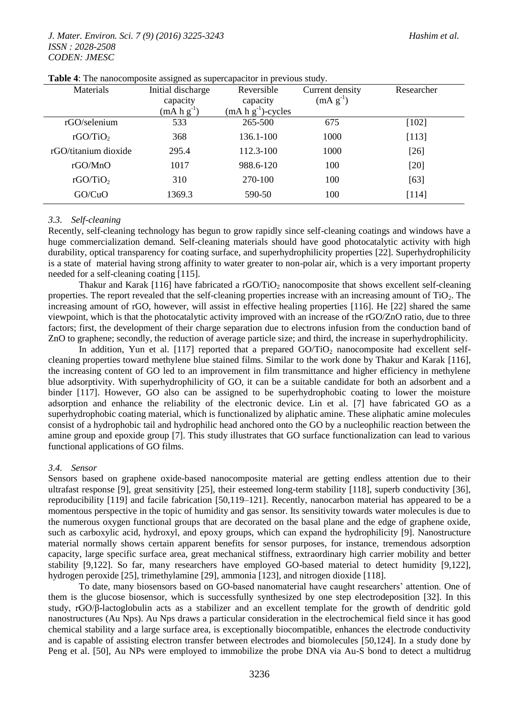#### *J. Mater. Environ. Sci. 7 (9) (2016) 3225-3243 Hashim et al. ISSN : 2028-2508 CODEN: JMESC*

| Materials            | Initial discharge | Reversible              | Current density | Researcher |
|----------------------|-------------------|-------------------------|-----------------|------------|
|                      | capacity          | capacity                | $(mA g^{-1})$   |            |
|                      | $(mA h g^{-1})$   | $(mA h g^{-1})$ -cycles |                 |            |
| rGO/selenium         | 533               | 265-500                 | 675             | $[102]$    |
| rGO/TiO <sub>2</sub> | 368               | $136.1 - 100$           | 1000            | [113]      |
| rGO/titanium dioxide | 295.4             | 112.3-100               | 1000            | $[26]$     |
| rGOMnO               | 1017              | 988.6-120               | 100             | [20]       |
| rGO/TiO <sub>2</sub> | 310               | 270-100                 | 100             | [63]       |
| GO/CuO               | 1369.3            | 590-50                  | 100             | [114]      |

|  | <b>Table 4:</b> The nanocomposite assigned as supercapacitor in previous study. |  |
|--|---------------------------------------------------------------------------------|--|
|  |                                                                                 |  |

#### *3.3. Self-cleaning*

Recently, self-cleaning technology has begun to grow rapidly since self-cleaning coatings and windows have a huge commercialization demand. Self-cleaning materials should have good photocatalytic activity with high durability, optical transparency for coating surface, and superhydrophilicity properties [22]. Superhydrophilicity is a state of material having strong affinity to water greater to non-polar air, which is a very important property needed for a self-cleaning coating [115].

Thakur and Karak [116] have fabricated a rGO/TiO<sub>2</sub> nanocomposite that shows excellent self-cleaning properties. The report revealed that the self-cleaning properties increase with an increasing amount of  $TiO<sub>2</sub>$ . The increasing amount of rGO, however, will assist in effective healing properties [116]. He [22] shared the same viewpoint, which is that the photocatalytic activity improved with an increase of the rGO/ZnO ratio, due to three factors; first, the development of their charge separation due to electrons infusion from the conduction band of ZnO to graphene; secondly, the reduction of average particle size; and third, the increase in superhydrophilicity.

In addition, Yun et al. [117] reported that a prepared  $GO/TiO<sub>2</sub>$  nanocomposite had excellent selfcleaning properties toward methylene blue stained films. Similar to the work done by Thakur and Karak [116], the increasing content of GO led to an improvement in film transmittance and higher efficiency in methylene blue adsorptivity. With superhydrophilicity of GO, it can be a suitable candidate for both an adsorbent and a binder [117]. However, GO also can be assigned to be superhydrophobic coating to lower the moisture adsorption and enhance the reliability of the electronic device. Lin et al. [7] have fabricated GO as a superhydrophobic coating material, which is functionalized by aliphatic amine. These aliphatic amine molecules consist of a hydrophobic tail and hydrophilic head anchored onto the GO by a nucleophilic reaction between the amine group and epoxide group [7]. This study illustrates that GO surface functionalization can lead to various functional applications of GO films.

## *3.4. Sensor*

Sensors based on graphene oxide-based nanocomposite material are getting endless attention due to their ultrafast response [9], great sensitivity [25], their esteemed long-term stability [118], superb conductivity [36], reproducibility [119] and facile fabrication [50,119–121]. Recently, nanocarbon material has appeared to be a momentous perspective in the topic of humidity and gas sensor. Its sensitivity towards water molecules is due to the numerous oxygen functional groups that are decorated on the basal plane and the edge of graphene oxide, such as carboxylic acid, hydroxyl, and epoxy groups, which can expand the hydrophilicity [9]. Nanostructure material normally shows certain apparent benefits for sensor purposes, for instance, tremendous adsorption capacity, large specific surface area, great mechanical stiffness, extraordinary high carrier mobility and better stability [9,122]. So far, many researchers have employed GO-based material to detect humidity [9,122], hydrogen peroxide [25], trimethylamine [29], ammonia [123], and nitrogen dioxide [118].

To date, many biosensors based on GO-based nanomaterial have caught researchers' attention. One of them is the glucose biosensor, which is successfully synthesized by one step electrodeposition [32]. In this study, rGO/β-lactoglobulin acts as a stabilizer and an excellent template for the growth of dendritic gold nanostructures (Au Nps). Au Nps draws a particular consideration in the electrochemical field since it has good chemical stability and a large surface area, is exceptionally biocompatible, enhances the electrode conductivity and is capable of assisting electron transfer between electrodes and biomolecules [50,124]. In a study done by Peng et al. [50], Au NPs were employed to immobilize the probe DNA via Au-S bond to detect a multidrug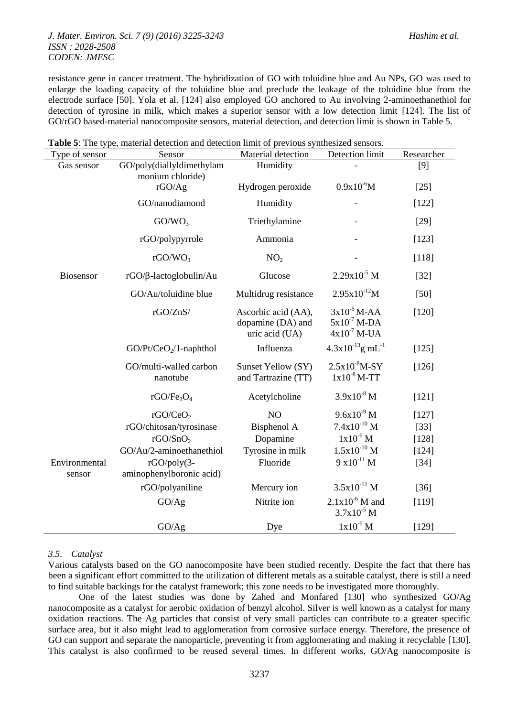resistance gene in cancer treatment. The hybridization of GO with toluidine blue and Au NPs, GO was used to enlarge the loading capacity of the toluidine blue and preclude the leakage of the toluidine blue from the electrode surface [50]. Yola et al. [124] also employed GO anchored to Au involving 2-aminoethanethiol for detection of tyrosine in milk, which makes a superior sensor with a low detection limit [124]. The list of GO/rGO based-material nanocomposite sensors, material detection, and detection limit is shown in Table 5.

| Type of sensor          | Sensor                                    | Material detection                                         | Detection limit                                          | Researcher |
|-------------------------|-------------------------------------------|------------------------------------------------------------|----------------------------------------------------------|------------|
| Gas sensor              | GO/poly(diallyldimethylam                 | Humidity                                                   |                                                          | $[9]$      |
|                         | monium chloride)<br>rGO/Ag                | Hydrogen peroxide                                          | $0.9x10^{-6}M$                                           | $[25]$     |
|                         | GO/nanodiamond                            | Humidity                                                   |                                                          | [122]      |
|                         | GO/WO <sub>3</sub>                        | Triethylamine                                              |                                                          | $[29]$     |
|                         | rGO/polypyrrole                           | Ammonia                                                    |                                                          | [123]      |
|                         | rGO/WO <sub>3</sub>                       | NO <sub>2</sub>                                            |                                                          | [118]      |
| Biosensor               | $rGO/B$ -lactoglobulin/Au                 | Glucose                                                    | $2.29x10^{-5}$ M                                         | $[32]$     |
|                         | GO/Au/toluidine blue                      | Multidrug resistance                                       | $2.95x10^{-12}M$                                         | $[50]$     |
|                         | rGO/ZnS/                                  | Ascorbic acid (AA),<br>dopamine (DA) and<br>uric acid (UA) | $3x10^{-5}$ M-AA<br>$5x10^{-7}$ M-DA<br>$4x10^{-7}$ M-UA | [120]      |
|                         | $GO/Pt/CeO2/1$ -naphthol                  | Influenza                                                  | $4.3x10^{-13}$ g mL <sup>-1</sup>                        | [125]      |
|                         | GO/multi-walled carbon<br>nanotube        | Sunset Yellow (SY)<br>and Tartrazine (TT)                  | $2.5x10^{8}M-SY$<br>$1x10^{-8}$ M-TT                     | [126]      |
|                         | rGO/Fe <sub>3</sub> O <sub>4</sub>        | Acetylcholine                                              | $3.9x10^{8}$ M                                           | [121]      |
|                         | rGO/CeO <sub>2</sub>                      | NO                                                         | $9.6x10^{9}$ M                                           | [127]      |
|                         | rGO/chitosan/tyrosinase                   | Bisphenol A                                                | $7.4x10^{10}$ M                                          | $[33]$     |
|                         | rGO/SnO <sub>2</sub>                      | Dopamine                                                   | $1x10^{-6}$ M                                            | [128]      |
|                         | GO/Au/2-aminoethanethiol                  | Tyrosine in milk                                           | $1.5x10^{-10}$ M                                         | [124]      |
| Environmental<br>sensor | $rGO/poly(3-$<br>aminophenylboronic acid) | Fluoride                                                   | $9 \times 10^{-11}$ M                                    | $[34]$     |
|                         | rGO/polyaniline                           | Mercury ion                                                | $3.5x10^{-11}$ M                                         | $[36]$     |
|                         | GO/Ag                                     | Nitrite ion                                                | $2.1x10^{-6}$ M and<br>$3.7x10^{-5}$ M                   | [119]      |
|                         | GO/Ag                                     | Dye                                                        | $1x10^{-6}$ M                                            | [129]      |

**Table 5**: The type, material detection and detection limit of previous synthesized sensors.

#### *3.5. Catalyst*

Various catalysts based on the GO nanocomposite have been studied recently. Despite the fact that there has been a significant effort committed to the utilization of different metals as a suitable catalyst, there is still a need to find suitable backings for the catalyst framework; this zone needs to be investigated more thoroughly.

One of the latest studies was done by Zahed and Monfared [130] who synthesized GO/Ag nanocomposite as a catalyst for aerobic oxidation of benzyl alcohol. Silver is well known as a catalyst for many oxidation reactions. The Ag particles that consist of very small particles can contribute to a greater specific surface area, but it also might lead to agglomeration from corrosive surface energy. Therefore, the presence of GO can support and separate the nanoparticle, preventing it from agglomerating and making it recyclable [130]. This catalyst is also confirmed to be reused several times. In different works, GO/Ag nanocomposite is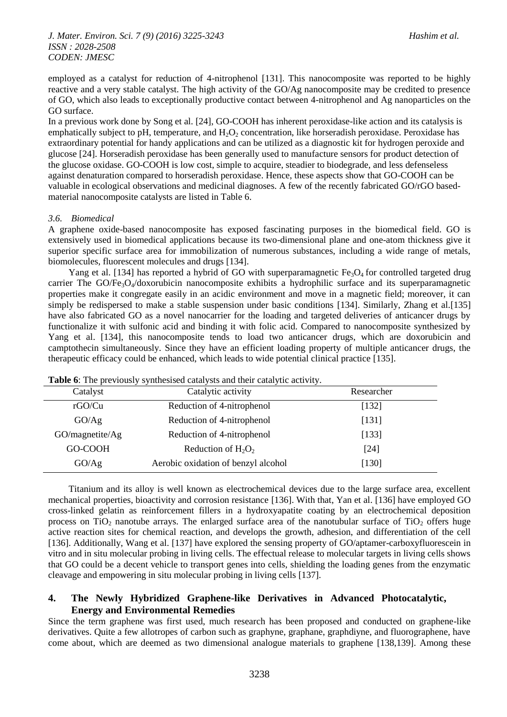employed as a catalyst for reduction of 4-nitrophenol [131]. This nanocomposite was reported to be highly reactive and a very stable catalyst. The high activity of the GO/Ag nanocomposite may be credited to presence of GO, which also leads to exceptionally productive contact between 4-nitrophenol and Ag nanoparticles on the GO surface.

In a previous work done by Song et al. [24], GO-COOH has inherent peroxidase-like action and its catalysis is emphatically subject to pH, temperature, and  $H_2O_2$  concentration, like horseradish peroxidase. Peroxidase has extraordinary potential for handy applications and can be utilized as a diagnostic kit for hydrogen peroxide and glucose [24]. Horseradish peroxidase has been generally used to manufacture sensors for product detection of the glucose oxidase. GO-COOH is low cost, simple to acquire, steadier to biodegrade, and less defenseless against denaturation compared to horseradish peroxidase. Hence, these aspects show that GO-COOH can be valuable in ecological observations and medicinal diagnoses. A few of the recently fabricated GO/rGO basedmaterial nanocomposite catalysts are listed in Table 6.

## *3.6. Biomedical*

A graphene oxide-based nanocomposite has exposed fascinating purposes in the biomedical field. GO is extensively used in biomedical applications because its two-dimensional plane and one-atom thickness give it superior specific surface area for immobilization of numerous substances, including a wide range of metals, biomolecules, fluorescent molecules and drugs [134].

Yang et al. [134] has reported a hybrid of GO with superparamagnetic  $Fe<sub>3</sub>O<sub>4</sub>$  for controlled targeted drug carrier The GO/Fe<sub>3</sub>O<sub>4</sub>/doxorubicin nanocomposite exhibits a hydrophilic surface and its superparamagnetic properties make it congregate easily in an acidic environment and move in a magnetic field; moreover, it can simply be redispersed to make a stable suspension under basic conditions [134]. Similarly, Zhang et al.[135] have also fabricated GO as a novel nanocarrier for the loading and targeted deliveries of anticancer drugs by functionalize it with sulfonic acid and binding it with folic acid. Compared to nanocomposite synthesized by Yang et al. [134], this nanocomposite tends to load two anticancer drugs, which are doxorubicin and camptothecin simultaneously. Since they have an efficient loading property of multiple anticancer drugs, the therapeutic efficacy could be enhanced, which leads to wide potential clinical practice [135].

| Catalyst        | Catalytic activity                  | Researcher |  |  |  |
|-----------------|-------------------------------------|------------|--|--|--|
| rGO/Cu          | Reduction of 4-nitrophenol          | [132]      |  |  |  |
| GO/Ag           | Reduction of 4-nitrophenol          | [131]      |  |  |  |
| GO/magnetite/Ag | Reduction of 4-nitrophenol          | [133]      |  |  |  |
| GO-COOH         | Reduction of $H_2O_2$               | [24]       |  |  |  |
| GO/Ag           | Aerobic oxidation of benzyl alcohol | $[130]$    |  |  |  |
|                 |                                     |            |  |  |  |

**Table 6**: The previously synthesised catalysts and their catalytic activity.

Titanium and its alloy is well known as electrochemical devices due to the large surface area, excellent mechanical properties, bioactivity and corrosion resistance [136]. With that, Yan et al. [136] have employed GO cross-linked gelatin as reinforcement fillers in a hydroxyapatite coating by an electrochemical deposition process on TiO<sub>2</sub> nanotube arrays. The enlarged surface area of the nanotubular surface of TiO<sub>2</sub> offers huge active reaction sites for chemical reaction, and develops the growth, adhesion, and differentiation of the cell [136]. Additionally, Wang et al. [137] have explored the sensing property of GO/aptamer-carboxyfluorescein in vitro and in situ molecular probing in living cells. The effectual release to molecular targets in living cells shows that GO could be a decent vehicle to transport genes into cells, shielding the loading genes from the enzymatic cleavage and empowering in situ molecular probing in living cells [137].

## **4. The Newly Hybridized Graphene-like Derivatives in Advanced Photocatalytic, Energy and Environmental Remedies**

Since the term graphene was first used, much research has been proposed and conducted on graphene-like derivatives. Quite a few allotropes of carbon such as graphyne, graphane, graphdiyne, and fluorographene, have come about, which are deemed as two dimensional analogue materials to graphene [138,139]. Among these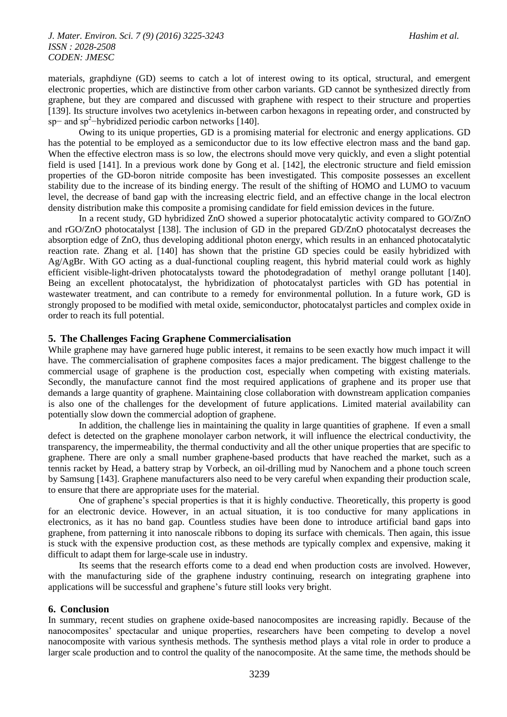materials, graphdiyne (GD) seems to catch a lot of interest owing to its optical, structural, and emergent electronic properties, which are distinctive from other carbon variants. GD cannot be synthesized directly from graphene, but they are compared and discussed with graphene with respect to their structure and properties [139]. Its structure involves two acetylenics in-between carbon hexagons in repeating order, and constructed by sp– and sp<sup>2</sup>-hybridized periodic carbon networks [140].

Owing to its unique properties, GD is a promising material for electronic and energy applications. GD has the potential to be employed as a semiconductor due to its low effective electron mass and the band gap. When the effective electron mass is so low, the electrons should move very quickly, and even a slight potential field is used [141]. In a previous work done by Gong et al. [142], the electronic structure and field emission properties of the GD-boron nitride composite has been investigated. This composite possesses an excellent stability due to the increase of its binding energy. The result of the shifting of HOMO and LUMO to vacuum level, the decrease of band gap with the increasing electric field, and an effective change in the local electron density distribution make this composite a promising candidate for field emission devices in the future.

In a recent study, GD hybridized ZnO showed a superior photocatalytic activity compared to GO/ZnO and rGO/ZnO photocatalyst [138]. The inclusion of GD in the prepared GD/ZnO photocatalyst decreases the absorption edge of ZnO, thus developing additional photon energy, which results in an enhanced photocatalytic reaction rate. Zhang et al. [140] has shown that the pristine GD species could be easily hybridized with Ag/AgBr. With GO acting as a dual-functional coupling reagent, this hybrid material could work as highly efficient visible-light-driven photocatalysts toward the photodegradation of methyl orange pollutant [140]. Being an excellent photocatalyst, the hybridization of photocatalyst particles with GD has potential in wastewater treatment, and can contribute to a remedy for environmental pollution. In a future work, GD is strongly proposed to be modified with metal oxide, semiconductor, photocatalyst particles and complex oxide in order to reach its full potential.

#### **5. The Challenges Facing Graphene Commercialisation**

While graphene may have garnered huge public interest, it remains to be seen exactly how much impact it will have. The commercialisation of graphene composites faces a major predicament. The biggest challenge to the commercial usage of graphene is the production cost, especially when competing with existing materials. Secondly, the manufacture cannot find the most required applications of graphene and its proper use that demands a large quantity of graphene. Maintaining close collaboration with downstream application companies is also one of the challenges for the development of future applications. Limited material availability can potentially slow down the commercial adoption of graphene.

In addition, the challenge lies in maintaining the quality in large quantities of graphene. If even a small defect is detected on the graphene monolayer carbon network, it will influence the electrical conductivity, the transparency, the impermeability, the thermal conductivity and all the other unique properties that are specific to graphene. There are only a small number graphene-based products that have reached the market, such as a tennis racket by Head, a battery strap by Vorbeck, an oil-drilling mud by Nanochem and a phone touch screen by Samsung [143]. Graphene manufacturers also need to be very careful when expanding their production scale, to ensure that there are appropriate uses for the material.

One of graphene's special properties is that it is highly conductive. Theoretically, this property is good for an electronic device. However, in an actual situation, it is too conductive for many applications in electronics, as it has no band gap. Countless studies have been done to introduce artificial band gaps into graphene, from patterning it into nanoscale ribbons to doping its surface with chemicals. Then again, this issue is stuck with the expensive production cost, as these methods are typically complex and expensive, making it difficult to adapt them for large-scale use in industry.

Its seems that the research efforts come to a dead end when production costs are involved. However, with the manufacturing side of the graphene industry continuing, research on integrating graphene into applications will be successful and graphene's future still looks very bright.

#### **6. Conclusion**

In summary, recent studies on graphene oxide-based nanocomposites are increasing rapidly. Because of the nanocomposites' spectacular and unique properties, researchers have been competing to develop a novel nanocomposite with various synthesis methods. The synthesis method plays a vital role in order to produce a larger scale production and to control the quality of the nanocomposite. At the same time, the methods should be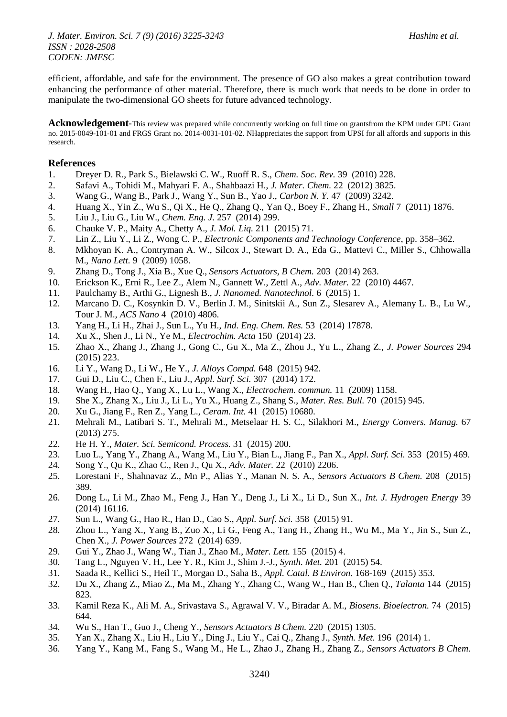efficient, affordable, and safe for the environment. The presence of GO also makes a great contribution toward enhancing the performance of other material. Therefore, there is much work that needs to be done in order to manipulate the two-dimensional GO sheets for future advanced technology.

**Acknowledgement-**This review was prepared while concurrently working on full time on grantsfrom the KPM under GPU Grant no. 2015-0049-101-01 and FRGS Grant no. 2014-0031-101-02. NHappreciates the support from UPSI for all affords and supports in this research.

## **References**

- 1. Dreyer D. R., Park S., Bielawski C. W., Ruoff R. S., *Chem. Soc. Rev.* 39 (2010) 228.
- 2. Safavi A., Tohidi M., Mahyari F. A., Shahbaazi H., *J. Mater. Chem.* 22 (2012) 3825.
- 3. Wang G., Wang B., Park J., Wang Y., Sun B., Yao J., *Carbon N. Y.* 47 (2009) 3242.
- 4. Huang X., Yin Z., Wu S., Qi X., He Q., Zhang Q., Yan Q., Boey F., Zhang H., *Small* 7 (2011) 1876.
- 5. Liu J., Liu G., Liu W., *Chem. Eng. J.* 257 (2014) 299.
- 6. Chauke V. P., Maity A., Chetty A., *J. Mol. Liq.* 211 (2015) 71.
- 7. Lin Z., Liu Y., Li Z., Wong C. P., *Electronic Components and Technology Conference*, pp. 358–362.
- 8. Mkhoyan K. A., Contryman A. W., Silcox J., Stewart D. A., Eda G., Mattevi C., Miller S., Chhowalla M., *Nano Lett.* 9 (2009) 1058.
- 9. Zhang D., Tong J., Xia B., Xue Q., *Sensors Actuators, B Chem.* 203 (2014) 263.
- 10. Erickson K., Erni R., Lee Z., Alem N., Gannett W., Zettl A., *Adv. Mater.* 22 (2010) 4467.
- 11. Paulchamy B., Arthi G., Lignesh B., *J. Nanomed. Nanotechnol.* 6 (2015) 1.
- 12. Marcano D. C., Kosynkin D. V., Berlin J. M., Sinitskii A., Sun Z., Slesarev A., Alemany L. B., Lu W., Tour J. M., *ACS Nano* 4 (2010) 4806.
- 13. Yang H., Li H., Zhai J., Sun L., Yu H., *Ind. Eng. Chem. Res.* 53 (2014) 17878.
- 14. Xu X., Shen J., Li N., Ye M., *Electrochim. Acta* 150 (2014) 23.
- 15. Zhao X., Zhang J., Zhang J., Gong C., Gu X., Ma Z., Zhou J., Yu L., Zhang Z., *J. Power Sources* 294 (2015) 223.
- 16. Li Y., Wang D., Li W., He Y., *J. Alloys Compd.* 648 (2015) 942.
- 17. Gui D., Liu C., Chen F., Liu J., *Appl. Surf. Sci.* 307 (2014) 172.
- 18. Wang H., Hao Q., Yang X., Lu L., Wang X., *Electrochem. commun.* 11 (2009) 1158.
- 19. She X., Zhang X., Liu J., Li L., Yu X., Huang Z., Shang S., *Mater. Res. Bull.* 70 (2015) 945.
- 20. Xu G., Jiang F., Ren Z., Yang L., *Ceram. Int.* 41 (2015) 10680.
- 21. Mehrali M., Latibari S. T., Mehrali M., Metselaar H. S. C., Silakhori M., *Energy Convers. Manag.* 67 (2013) 275.
- 22. He H. Y., *Mater. Sci. Semicond. Process.* 31 (2015) 200.
- 23. Luo L., Yang Y., Zhang A., Wang M., Liu Y., Bian L., Jiang F., Pan X., *Appl. Surf. Sci.* 353 (2015) 469.
- 24. Song Y., Qu K., Zhao C., Ren J., Qu X., *Adv. Mater.* 22 (2010) 2206.
- 25. Lorestani F., Shahnavaz Z., Mn P., Alias Y., Manan N. S. A., *Sensors Actuators B Chem.* 208 (2015) 389.
- 26. Dong L., Li M., Zhao M., Feng J., Han Y., Deng J., Li X., Li D., Sun X., *Int. J. Hydrogen Energy* 39 (2014) 16116.
- 27. Sun L., Wang G., Hao R., Han D., Cao S., *Appl. Surf. Sci.* 358 (2015) 91.
- 28. Zhou L., Yang X., Yang B., Zuo X., Li G., Feng A., Tang H., Zhang H., Wu M., Ma Y., Jin S., Sun Z., Chen X., *J. Power Sources* 272 (2014) 639.
- 29. Gui Y., Zhao J., Wang W., Tian J., Zhao M., *Mater. Lett.* 155 (2015) 4.
- 30. Tang L., Nguyen V. H., Lee Y. R., Kim J., Shim J.-J., *Synth. Met.* 201 (2015) 54.
- 31. Saada R., Kellici S., Heil T., Morgan D., Saha B., *Appl. Catal. B Environ.* 168-169 (2015) 353.
- 32. Du X., Zhang Z., Miao Z., Ma M., Zhang Y., Zhang C., Wang W., Han B., Chen Q., *Talanta* 144 (2015) 823.
- 33. Kamil Reza K., Ali M. A., Srivastava S., Agrawal V. V., Biradar A. M., *Biosens. Bioelectron.* 74 (2015) 644.
- 34. Wu S., Han T., Guo J., Cheng Y., *Sensors Actuators B Chem.* 220 (2015) 1305.
- 35. Yan X., Zhang X., Liu H., Liu Y., Ding J., Liu Y., Cai Q., Zhang J., *Synth. Met.* 196 (2014) 1.
- 36. Yang Y., Kang M., Fang S., Wang M., He L., Zhao J., Zhang H., Zhang Z., *Sensors Actuators B Chem.*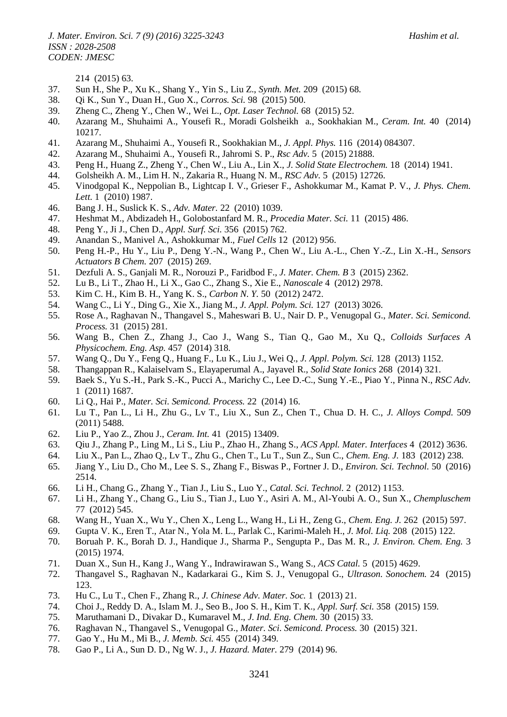214 (2015) 63.

- 37. Sun H., She P., Xu K., Shang Y., Yin S., Liu Z., *Synth. Met.* 209 (2015) 68.
- 38. Qi K., Sun Y., Duan H., Guo X., *Corros. Sci.* 98 (2015) 500.
- 39. Zheng C., Zheng Y., Chen W., Wei L., *Opt. Laser Technol.* 68 (2015) 52.
- 40. Azarang M., Shuhaimi A., Yousefi R., Moradi Golsheikh a., Sookhakian M., *Ceram. Int.* 40 (2014) 10217.
- 41. Azarang M., Shuhaimi A., Yousefi R., Sookhakian M., *J. Appl. Phys.* 116 (2014) 084307.
- 42. Azarang M., Shuhaimi A., Yousefi R., Jahromi S. P., *Rsc Adv.* 5 (2015) 21888.
- 43. Peng H., Huang Z., Zheng Y., Chen W., Liu A., Lin X., *J. Solid State Electrochem.* 18 (2014) 1941.
- 44. Golsheikh A. M., Lim H. N., Zakaria R., Huang N. M., *RSC Adv.* 5 (2015) 12726.
- 45. Vinodgopal K., Neppolian B., Lightcap I. V., Grieser F., Ashokkumar M., Kamat P. V., *J. Phys. Chem. Lett.* 1 (2010) 1987.
- 46. Bang J. H., Suslick K. S., *Adv. Mater.* 22 (2010) 1039.
- 47. Heshmat M., Abdizadeh H., Golobostanfard M. R., *Procedia Mater. Sci.* 11 (2015) 486.
- 48. Peng Y., Ji J., Chen D., *Appl. Surf. Sci.* 356 (2015) 762.
- 49. Anandan S., Manivel A., Ashokkumar M., *Fuel Cells* 12 (2012) 956.
- 50. Peng H.-P., Hu Y., Liu P., Deng Y.-N., Wang P., Chen W., Liu A.-L., Chen Y.-Z., Lin X.-H., *Sensors Actuators B Chem.* 207 (2015) 269.
- 51. Dezfuli A. S., Ganjali M. R., Norouzi P., Faridbod F., *J. Mater. Chem. B* 3 (2015) 2362.
- 52. Lu B., Li T., Zhao H., Li X., Gao C., Zhang S., Xie E., *Nanoscale* 4 (2012) 2978.
- 53. Kim C. H., Kim B. H., Yang K. S., *Carbon N. Y.* 50 (2012) 2472.
- 54. Wang C., Li Y., Ding G., Xie X., Jiang M., *J. Appl. Polym. Sci.* 127 (2013) 3026.
- 55. Rose A., Raghavan N., Thangavel S., Maheswari B. U., Nair D. P., Venugopal G., *Mater. Sci. Semicond. Process.* 31 (2015) 281.
- 56. Wang B., Chen Z., Zhang J., Cao J., Wang S., Tian Q., Gao M., Xu Q., *Colloids Surfaces A Physicochem. Eng. Asp.* 457 (2014) 318.
- 57. Wang Q., Du Y., Feng Q., Huang F., Lu K., Liu J., Wei Q., *J. Appl. Polym. Sci.* 128 (2013) 1152.
- 58. Thangappan R., Kalaiselvam S., Elayaperumal A., Jayavel R., *Solid State Ionics* 268 (2014) 321.
- 59. Baek S., Yu S.-H., Park S.-K., Pucci A., Marichy C., Lee D.-C., Sung Y.-E., Piao Y., Pinna N., *RSC Adv.* 1 (2011) 1687.
- 60. Li Q., Hai P., *Mater. Sci. Semicond. Process.* 22 (2014) 16.
- 61. Lu T., Pan L., Li H., Zhu G., Lv T., Liu X., Sun Z., Chen T., Chua D. H. C., *J. Alloys Compd.* 509 (2011) 5488.
- 62. Liu P., Yao Z., Zhou J., *Ceram. Int.* 41 (2015) 13409.
- 63. Qiu J., Zhang P., Ling M., Li S., Liu P., Zhao H., Zhang S., *ACS Appl. Mater. Interfaces* 4 (2012) 3636.
- 64. Liu X., Pan L., Zhao Q., Lv T., Zhu G., Chen T., Lu T., Sun Z., Sun C., *Chem. Eng. J.* 183 (2012) 238.
- 65. Jiang Y., Liu D., Cho M., Lee S. S., Zhang F., Biswas P., Fortner J. D., *Environ. Sci. Technol.* 50 (2016) 2514.
- 66. Li H., Chang G., Zhang Y., Tian J., Liu S., Luo Y., *Catal. Sci. Technol.* 2 (2012) 1153.
- 67. Li H., Zhang Y., Chang G., Liu S., Tian J., Luo Y., Asiri A. M., Al-Youbi A. O., Sun X., *Chempluschem* 77 (2012) 545.
- 68. Wang H., Yuan X., Wu Y., Chen X., Leng L., Wang H., Li H., Zeng G., *Chem. Eng. J.* 262 (2015) 597.
- 69. Gupta V. K., Eren T., Atar N., Yola M. L., Parlak C., Karimi-Maleh H., *J. Mol. Liq.* 208 (2015) 122.
- 70. Boruah P. K., Borah D. J., Handique J., Sharma P., Sengupta P., Das M. R., *J. Environ. Chem. Eng.* 3 (2015) 1974.
- 71. Duan X., Sun H., Kang J., Wang Y., Indrawirawan S., Wang S., *ACS Catal.* 5 (2015) 4629.
- 72. Thangavel S., Raghavan N., Kadarkarai G., Kim S. J., Venugopal G., *Ultrason. Sonochem.* 24 (2015) 123.
- 73. Hu C., Lu T., Chen F., Zhang R., *J. Chinese Adv. Mater. Soc.* 1 (2013) 21.
- 74. Choi J., Reddy D. A., Islam M. J., Seo B., Joo S. H., Kim T. K., *Appl. Surf. Sci.* 358 (2015) 159.
- 75. Maruthamani D., Divakar D., Kumaravel M., *J. Ind. Eng. Chem.* 30 (2015) 33.
- 76. Raghavan N., Thangavel S., Venugopal G., *Mater. Sci. Semicond. Process.* 30 (2015) 321.
- 77. Gao Y., Hu M., Mi B., *J. Memb. Sci.* 455 (2014) 349.
- 78. Gao P., Li A., Sun D. D., Ng W. J., *J. Hazard. Mater.* 279 (2014) 96.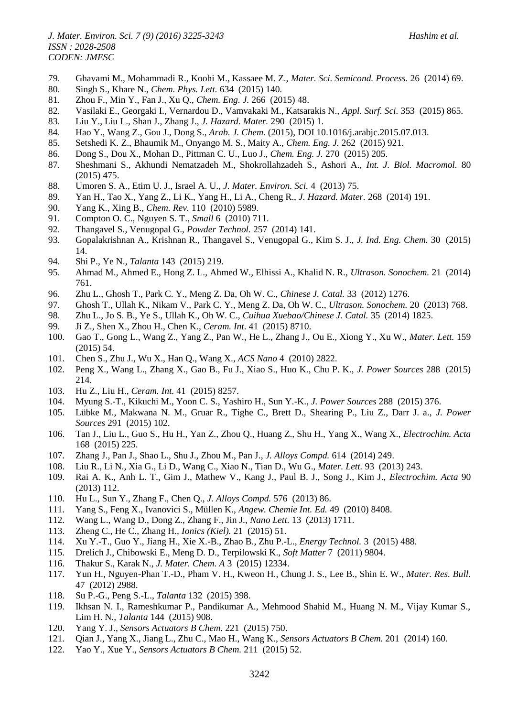- 79. Ghavami M., Mohammadi R., Koohi M., Kassaee M. Z., *Mater. Sci. Semicond. Process.* 26 (2014) 69.
- 80. Singh S., Khare N., *Chem. Phys. Lett.* 634 (2015) 140.
- 81. Zhou F., Min Y., Fan J., Xu Q., *Chem. Eng. J.* 266 (2015) 48.
- 82. Vasilaki E., Georgaki I., Vernardou D., Vamvakaki M., Katsarakis N., *Appl. Surf. Sci.* 353 (2015) 865.
- 83. Liu Y., Liu L., Shan J., Zhang J., *J. Hazard. Mater.* 290 (2015) 1.
- 84. Hao Y., Wang Z., Gou J., Dong S., *Arab. J. Chem.* (2015), DOI 10.1016/j.arabjc.2015.07.013.
- 85. Setshedi K. Z., Bhaumik M., Onyango M. S., Maity A., *Chem. Eng. J.* 262 (2015) 921.
- 86. Dong S., Dou X., Mohan D., Pittman C. U., Luo J., *Chem. Eng. J.* 270 (2015) 205.
- 87. Sheshmani S., Akhundi Nematzadeh M., Shokrollahzadeh S., Ashori A., *Int. J. Biol. Macromol.* 80 (2015) 475.
- 88. Umoren S. A., Etim U. J., Israel A. U., *J. Mater. Environ. Sci.* 4 (2013) 75.
- 89. Yan H., Tao X., Yang Z., Li K., Yang H., Li A., Cheng R., *J. Hazard. Mater.* 268 (2014) 191.
- 90. Yang K., Xing B., *Chem. Rev.* 110 (2010) 5989.
- 91. Compton O. C., Nguyen S. T., *Small* 6 (2010) 711.
- 92. Thangavel S., Venugopal G., *Powder Technol.* 257 (2014) 141.
- 93. Gopalakrishnan A., Krishnan R., Thangavel S., Venugopal G., Kim S. J., *J. Ind. Eng. Chem.* 30 (2015) 14.
- 94. Shi P., Ye N., *Talanta* 143 (2015) 219.
- 95. Ahmad M., Ahmed E., Hong Z. L., Ahmed W., Elhissi A., Khalid N. R., *Ultrason. Sonochem.* 21 (2014) 761.
- 96. Zhu L., Ghosh T., Park C. Y., Meng Z. Da, Oh W. C., *Chinese J. Catal.* 33 (2012) 1276.
- 97. Ghosh T., Ullah K., Nikam V., Park C. Y., Meng Z. Da, Oh W. C., *Ultrason. Sonochem.* 20 (2013) 768.
- 98. Zhu L., Jo S. B., Ye S., Ullah K., Oh W. C., *Cuihua Xuebao/Chinese J. Catal.* 35 (2014) 1825.
- 99. Ji Z., Shen X., Zhou H., Chen K., *Ceram. Int.* 41 (2015) 8710.
- 100. Gao T., Gong L., Wang Z., Yang Z., Pan W., He L., Zhang J., Ou E., Xiong Y., Xu W., *Mater. Lett.* 159 (2015) 54.
- 101. Chen S., Zhu J., Wu X., Han Q., Wang X., *ACS Nano* 4 (2010) 2822.
- 102. Peng X., Wang L., Zhang X., Gao B., Fu J., Xiao S., Huo K., Chu P. K., *J. Power Sources* 288 (2015) 214.
- 103. Hu Z., Liu H., *Ceram. Int.* 41 (2015) 8257.
- 104. Myung S.-T., Kikuchi M., Yoon C. S., Yashiro H., Sun Y.-K., *J. Power Sources* 288 (2015) 376.
- 105. Lübke M., Makwana N. M., Gruar R., Tighe C., Brett D., Shearing P., Liu Z., Darr J. a., *J. Power Sources* 291 (2015) 102.
- 106. Tan J., Liu L., Guo S., Hu H., Yan Z., Zhou Q., Huang Z., Shu H., Yang X., Wang X., *Electrochim. Acta* 168 (2015) 225.
- 107. Zhang J., Pan J., Shao L., Shu J., Zhou M., Pan J., *J. Alloys Compd.* 614 (2014) 249.
- 108. Liu R., Li N., Xia G., Li D., Wang C., Xiao N., Tian D., Wu G., *Mater. Lett.* 93 (2013) 243.
- 109. Rai A. K., Anh L. T., Gim J., Mathew V., Kang J., Paul B. J., Song J., Kim J., *Electrochim. Acta* 90 (2013) 112.
- 110. Hu L., Sun Y., Zhang F., Chen Q., *J. Alloys Compd.* 576 (2013) 86.
- 111. Yang S., Feng X., Ivanovici S., Müllen K., *Angew. Chemie Int. Ed.* 49 (2010) 8408.
- 112. Wang L., Wang D., Dong Z., Zhang F., Jin J., *Nano Lett.* 13 (2013) 1711.
- 113. Zheng C., He C., Zhang H., *Ionics (Kiel).* 21 (2015) 51.
- 114. Xu Y.-T., Guo Y., Jiang H., Xie X.-B., Zhao B., Zhu P.-L., *Energy Technol.* 3 (2015) 488.
- 115. Drelich J., Chibowski E., Meng D. D., Terpilowski K., *Soft Matter* 7 (2011) 9804.
- 116. Thakur S., Karak N., *J. Mater. Chem. A* 3 (2015) 12334.
- 117. Yun H., Nguyen-Phan T.-D., Pham V. H., Kweon H., Chung J. S., Lee B., Shin E. W., *Mater. Res. Bull.* 47 (2012) 2988.
- 118. Su P.-G., Peng S.-L., *Talanta* 132 (2015) 398.
- 119. Ikhsan N. I., Rameshkumar P., Pandikumar A., Mehmood Shahid M., Huang N. M., Vijay Kumar S., Lim H. N., *Talanta* 144 (2015) 908.
- 120. Yang Y. J., *Sensors Actuators B Chem.* 221 (2015) 750.
- 121. Qian J., Yang X., Jiang L., Zhu C., Mao H., Wang K., *Sensors Actuators B Chem.* 201 (2014) 160.
- 122. Yao Y., Xue Y., *Sensors Actuators B Chem.* 211 (2015) 52.